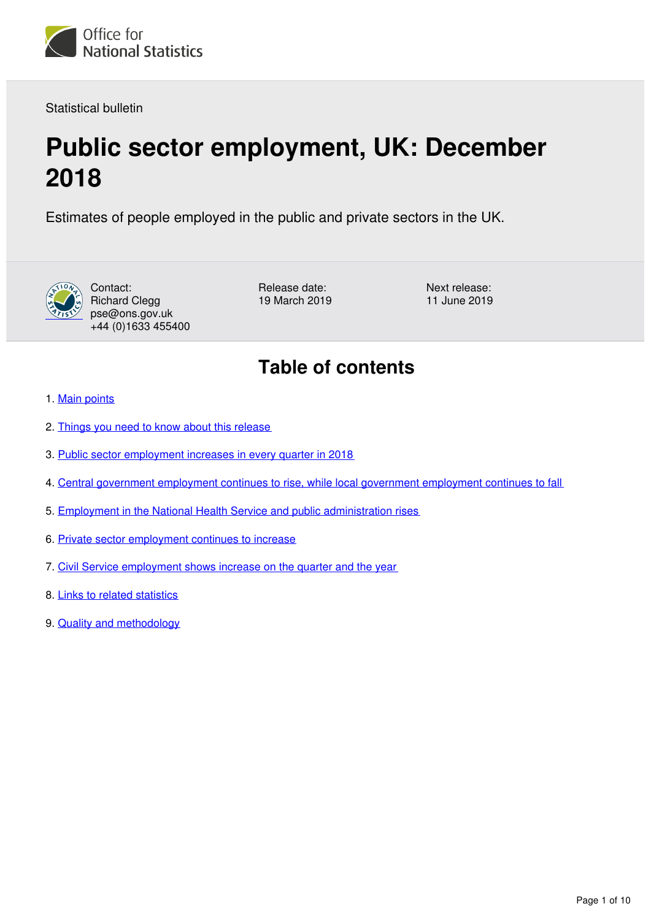

Statistical bulletin

# **Public sector employment, UK: December 2018**

Estimates of people employed in the public and private sectors in the UK.



Contact: Richard Clegg pse@ons.gov.uk +44 (0)1633 455400 Release date: 19 March 2019 Next release: 11 June 2019

## **Table of contents**

- 1. [Main points](#page-1-0)
- 2. [Things you need to know about this release](#page-1-1)
- 3. [Public sector employment increases in every quarter in 2018](#page-2-0)
- 4. [Central government employment continues to rise, while local government employment continues to fall](#page-3-0)
- 5. [Employment in the National Health Service and public administration rises](#page-5-0)
- 6. [Private sector employment continues to increase](#page-6-0)
- 7. [Civil Service employment shows increase on the quarter and the year](#page-7-0)
- 8. [Links to related statistics](#page-8-0)
- 9. [Quality and methodology](#page-8-1)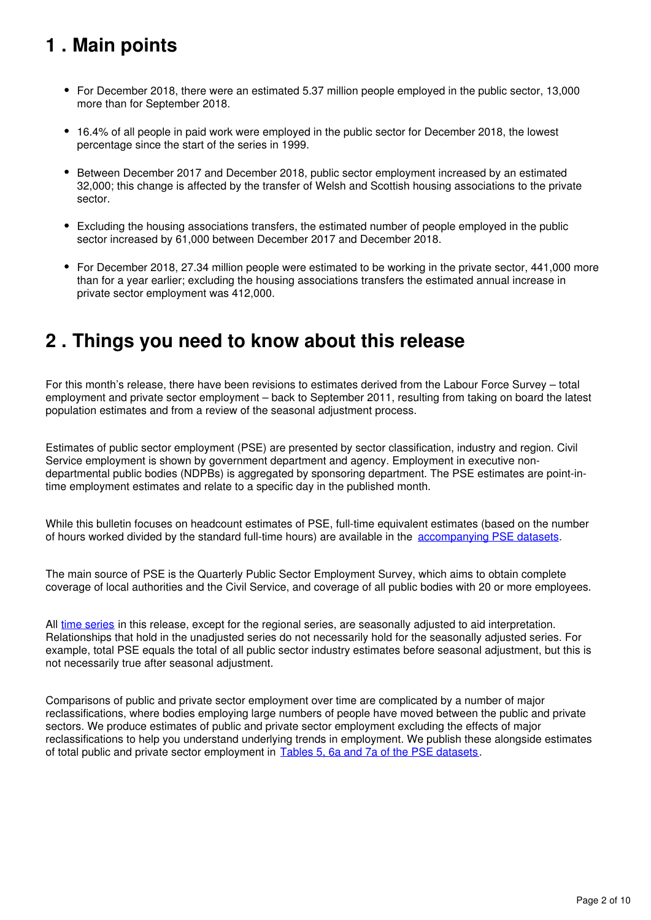## <span id="page-1-0"></span>**1 . Main points**

- For December 2018, there were an estimated 5.37 million people employed in the public sector, 13,000 more than for September 2018.
- 16.4% of all people in paid work were employed in the public sector for December 2018, the lowest percentage since the start of the series in 1999.
- Between December 2017 and December 2018, public sector employment increased by an estimated 32,000; this change is affected by the transfer of Welsh and Scottish housing associations to the private sector.
- Excluding the housing associations transfers, the estimated number of people employed in the public sector increased by 61,000 between December 2017 and December 2018.
- For December 2018, 27.34 million people were estimated to be working in the private sector, 441,000 more than for a year earlier; excluding the housing associations transfers the estimated annual increase in private sector employment was 412,000.

## <span id="page-1-1"></span>**2 . Things you need to know about this release**

For this month's release, there have been revisions to estimates derived from the Labour Force Survey – total employment and private sector employment – back to September 2011, resulting from taking on board the latest population estimates and from a review of the seasonal adjustment process.

Estimates of public sector employment (PSE) are presented by sector classification, industry and region. Civil Service employment is shown by government department and agency. Employment in executive nondepartmental public bodies (NDPBs) is aggregated by sponsoring department. The PSE estimates are point-intime employment estimates and relate to a specific day in the published month.

While this bulletin focuses on headcount estimates of PSE, full-time equivalent estimates (based on the number of hours worked divided by the standard full-time hours) are available in the accompanying PSE datasets.

The main source of PSE is the Quarterly Public Sector Employment Survey, which aims to obtain complete coverage of local authorities and the Civil Service, and coverage of all public bodies with 20 or more employees.

All [time series](https://www.ons.gov.uk/employmentandlabourmarket/peopleinwork/publicsectorpersonnel/datasets/publicsectoremploymenttimeseriesdataset) in this release, except for the regional series, are seasonally adjusted to aid interpretation. Relationships that hold in the unadjusted series do not necessarily hold for the seasonally adjusted series. For example, total PSE equals the total of all public sector industry estimates before seasonal adjustment, but this is not necessarily true after seasonal adjustment.

Comparisons of public and private sector employment over time are complicated by a number of major reclassifications, where bodies employing large numbers of people have moved between the public and private sectors. We produce estimates of public and private sector employment excluding the effects of major reclassifications to help you understand underlying trends in employment. We publish these alongside estimates of total public and private sector employment in [Tables 5, 6a and 7a of the PSE datasets](https://www.ons.gov.uk/employmentandlabourmarket/peopleinwork/publicsectorpersonnel/datasets/publicsectoremploymentreferencetable).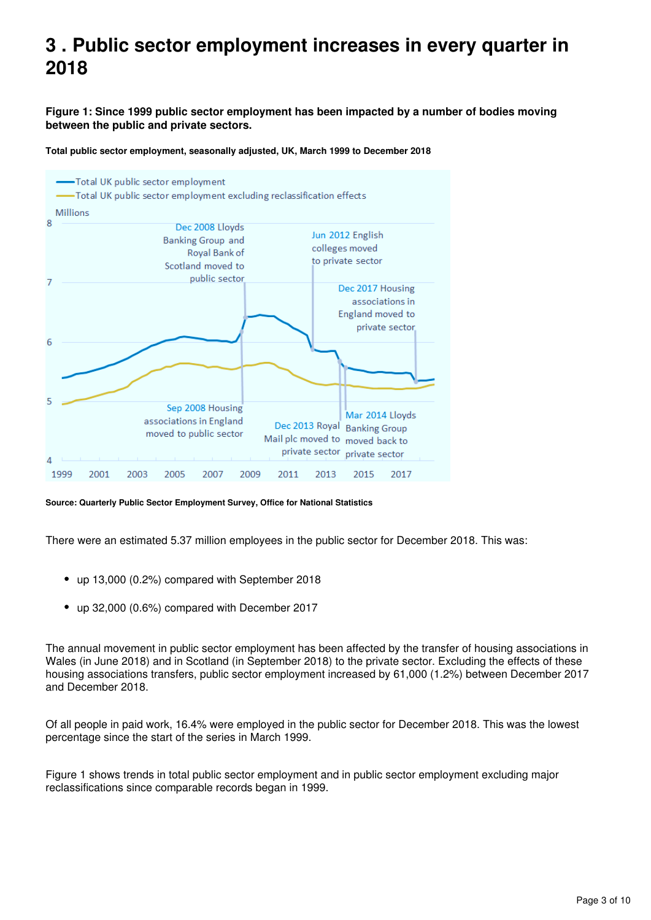## <span id="page-2-0"></span>**3 . Public sector employment increases in every quarter in 2018**

**Figure 1: Since 1999 public sector employment has been impacted by a number of bodies moving between the public and private sectors.**



**Total public sector employment, seasonally adjusted, UK, March 1999 to December 2018**

There were an estimated 5.37 million employees in the public sector for December 2018. This was:

- up 13,000 (0.2%) compared with September 2018
- up 32,000 (0.6%) compared with December 2017

The annual movement in public sector employment has been affected by the transfer of housing associations in Wales (in June 2018) and in Scotland (in September 2018) to the private sector. Excluding the effects of these housing associations transfers, public sector employment increased by 61,000 (1.2%) between December 2017 and December 2018.

Of all people in paid work, 16.4% were employed in the public sector for December 2018. This was the lowest percentage since the start of the series in March 1999.

Figure 1 shows trends in total public sector employment and in public sector employment excluding major reclassifications since comparable records began in 1999.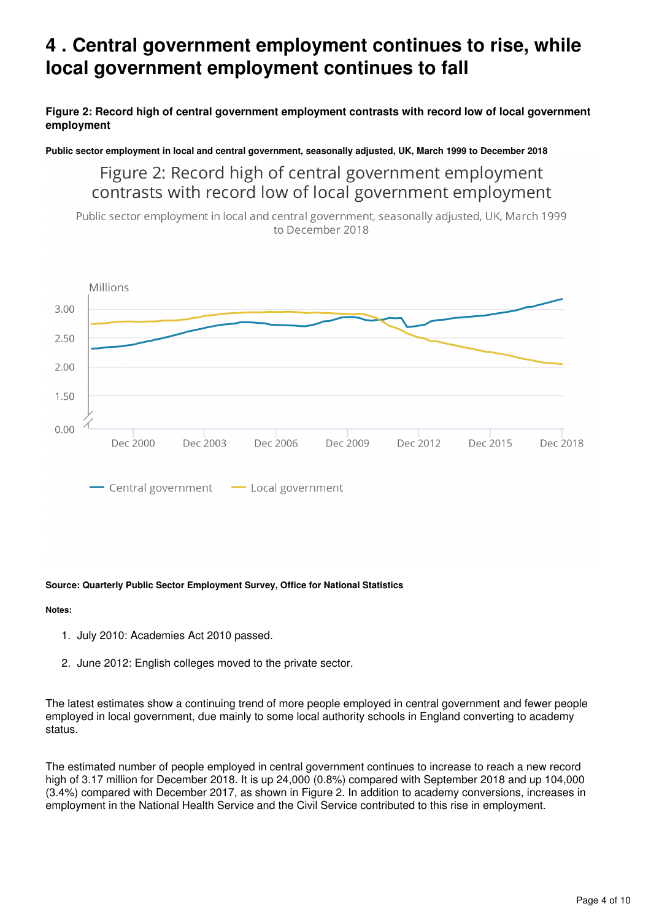## <span id="page-3-0"></span>**4 . Central government employment continues to rise, while local government employment continues to fall**

**Figure 2: Record high of central government employment contrasts with record low of local government employment**

**Public sector employment in local and central government, seasonally adjusted, UK, March 1999 to December 2018**

Figure 2: Record high of central government employment contrasts with record low of local government employment

Public sector employment in local and central government, seasonally adjusted, UK, March 1999 to December 2018



#### **Source: Quarterly Public Sector Employment Survey, Office for National Statistics**

#### **Notes:**

- 1. July 2010: Academies Act 2010 passed.
- 2. June 2012: English colleges moved to the private sector.

The latest estimates show a continuing trend of more people employed in central government and fewer people employed in local government, due mainly to some local authority schools in England converting to academy status.

The estimated number of people employed in central government continues to increase to reach a new record high of 3.17 million for December 2018. It is up 24,000 (0.8%) compared with September 2018 and up 104,000 (3.4%) compared with December 2017, as shown in Figure 2. In addition to academy conversions, increases in employment in the National Health Service and the Civil Service contributed to this rise in employment.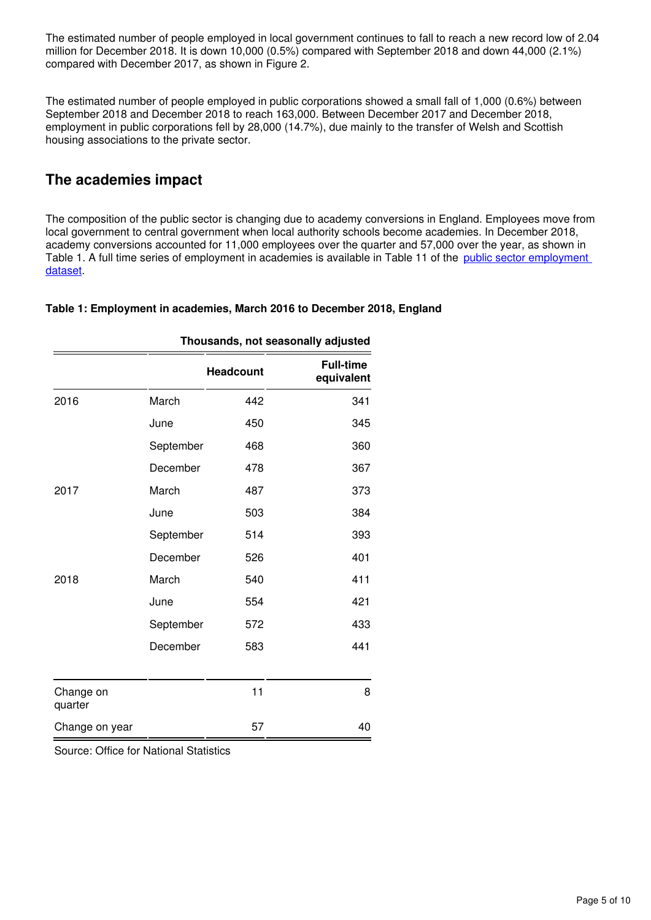The estimated number of people employed in local government continues to fall to reach a new record low of 2.04 million for December 2018. It is down 10,000 (0.5%) compared with September 2018 and down 44,000 (2.1%) compared with December 2017, as shown in Figure 2.

The estimated number of people employed in public corporations showed a small fall of 1,000 (0.6%) between September 2018 and December 2018 to reach 163,000. Between December 2017 and December 2018, employment in public corporations fell by 28,000 (14.7%), due mainly to the transfer of Welsh and Scottish housing associations to the private sector.

### **The academies impact**

The composition of the public sector is changing due to academy conversions in England. Employees move from local government to central government when local authority schools become academies. In December 2018, academy conversions accounted for 11,000 employees over the quarter and 57,000 over the year, as shown in Table 1. A full time series of employment in academies is available in Table 11 of the [public sector employment](https://www.ons.gov.uk/employmentandlabourmarket/peopleinwork/publicsectorpersonnel/datasets/publicsectoremploymentreferencetable)  [dataset.](https://www.ons.gov.uk/employmentandlabourmarket/peopleinwork/publicsectorpersonnel/datasets/publicsectoremploymentreferencetable)

### **Table 1: Employment in academies, March 2016 to December 2018, England**

|                      |           |                  | Thousands, not seasonally adjusted |
|----------------------|-----------|------------------|------------------------------------|
|                      |           | <b>Headcount</b> | <b>Full-time</b><br>equivalent     |
| 2016                 | March     | 442              | 341                                |
|                      | June      | 450              | 345                                |
|                      | September | 468              | 360                                |
|                      | December  | 478              | 367                                |
| 2017                 | March     | 487              | 373                                |
|                      | June      | 503              | 384                                |
|                      | September | 514              | 393                                |
|                      | December  | 526              | 401                                |
| 2018                 | March     | 540              | 411                                |
|                      | June      | 554              | 421                                |
|                      | September | 572              | 433                                |
|                      | December  | 583              | 441                                |
|                      |           |                  |                                    |
| Change on<br>quarter |           | 11               | 8                                  |
| Change on year       |           | 57               | 40                                 |

Source: Office for National Statistics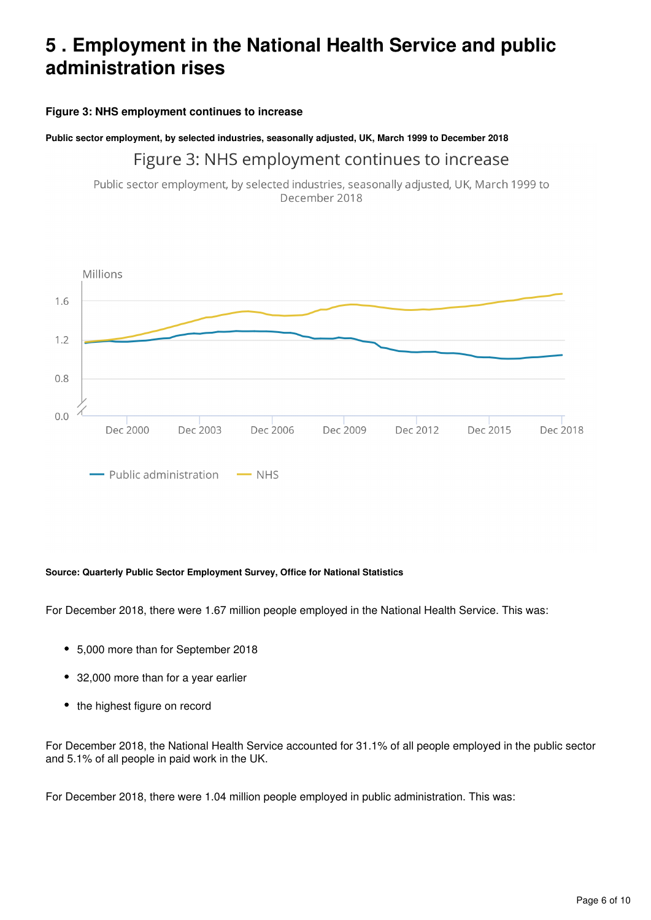## <span id="page-5-0"></span>**5 . Employment in the National Health Service and public administration rises**

### **Figure 3: NHS employment continues to increase**

### **Public sector employment, by selected industries, seasonally adjusted, UK, March 1999 to December 2018**

### Figure 3: NHS employment continues to increase

Public sector employment, by selected industries, seasonally adjusted, UK, March 1999 to December 2018



#### **Source: Quarterly Public Sector Employment Survey, Office for National Statistics**

For December 2018, there were 1.67 million people employed in the National Health Service. This was:

- 5,000 more than for September 2018
- 32,000 more than for a year earlier
- the highest figure on record

For December 2018, the National Health Service accounted for 31.1% of all people employed in the public sector and 5.1% of all people in paid work in the UK.

For December 2018, there were 1.04 million people employed in public administration. This was: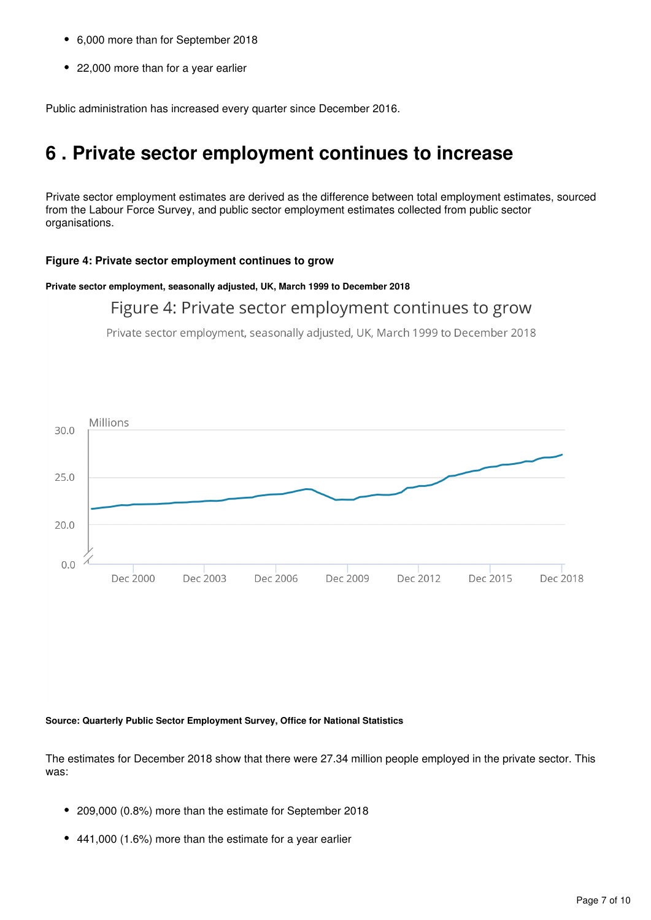- 6,000 more than for September 2018
- 22,000 more than for a year earlier

Public administration has increased every quarter since December 2016.

## <span id="page-6-0"></span>**6 . Private sector employment continues to increase**

Private sector employment estimates are derived as the difference between total employment estimates, sourced from the Labour Force Survey, and public sector employment estimates collected from public sector organisations.

#### **Figure 4: Private sector employment continues to grow**

**Private sector employment, seasonally adjusted, UK, March 1999 to December 2018**

### Figure 4: Private sector employment continues to grow

Private sector employment, seasonally adjusted, UK, March 1999 to December 2018



#### **Source: Quarterly Public Sector Employment Survey, Office for National Statistics**

The estimates for December 2018 show that there were 27.34 million people employed in the private sector. This was:

- 209,000 (0.8%) more than the estimate for September 2018
- 441,000 (1.6%) more than the estimate for a year earlier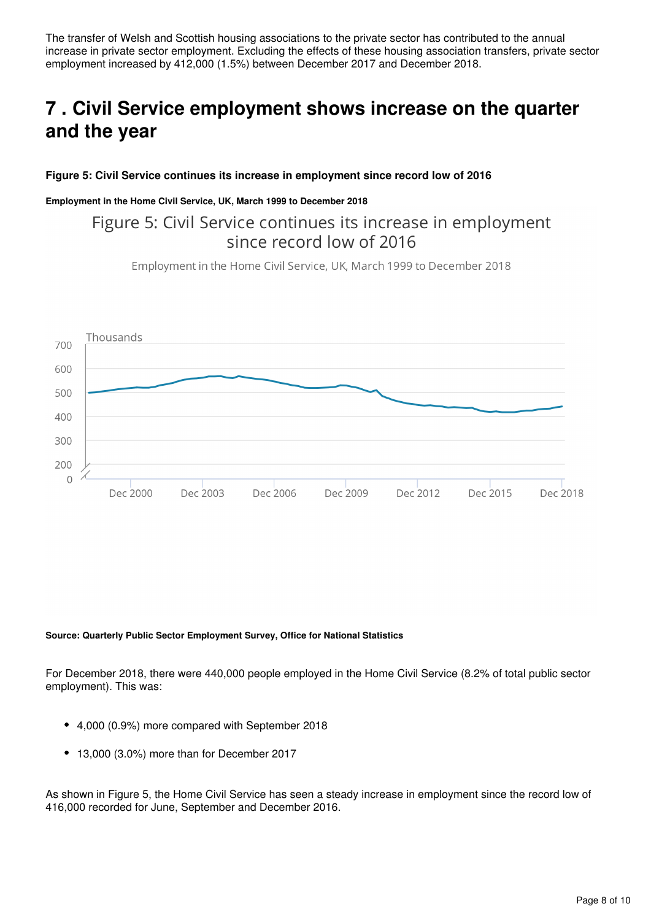The transfer of Welsh and Scottish housing associations to the private sector has contributed to the annual increase in private sector employment. Excluding the effects of these housing association transfers, private sector employment increased by 412,000 (1.5%) between December 2017 and December 2018.

## <span id="page-7-0"></span>**7 . Civil Service employment shows increase on the quarter and the year**

### **Figure 5: Civil Service continues its increase in employment since record low of 2016**

### **Employment in the Home Civil Service, UK, March 1999 to December 2018**

### Figure 5: Civil Service continues its increase in employment since record low of 2016

Employment in the Home Civil Service, UK, March 1999 to December 2018



#### **Source: Quarterly Public Sector Employment Survey, Office for National Statistics**

For December 2018, there were 440,000 people employed in the Home Civil Service (8.2% of total public sector employment). This was:

- 4,000 (0.9%) more compared with September 2018
- 13,000 (3.0%) more than for December 2017

As shown in Figure 5, the Home Civil Service has seen a steady increase in employment since the record low of 416,000 recorded for June, September and December 2016.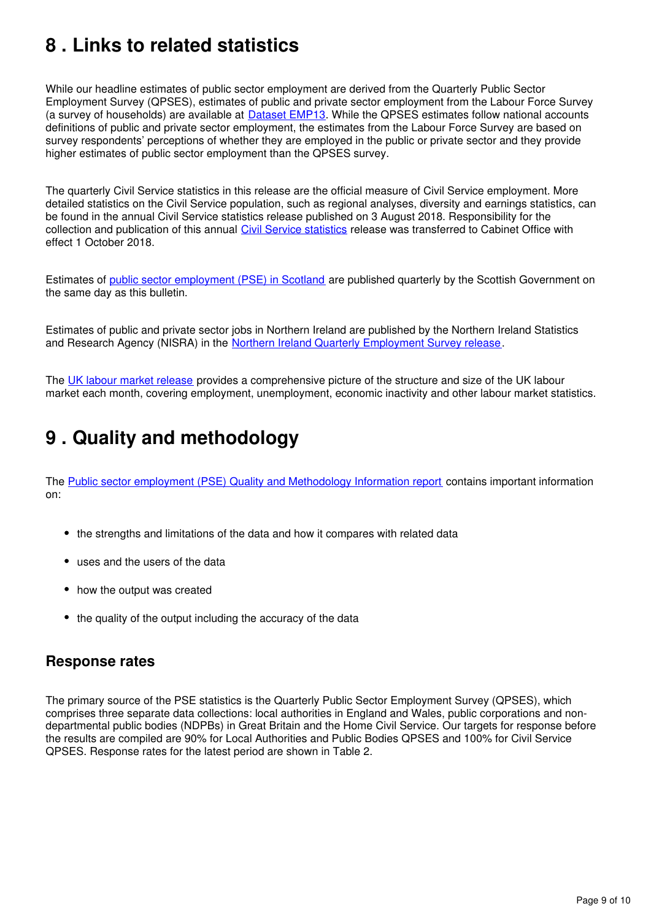## <span id="page-8-0"></span>**8 . Links to related statistics**

While our headline estimates of public sector employment are derived from the Quarterly Public Sector Employment Survey (QPSES), estimates of public and private sector employment from the Labour Force Survey (a survey of households) are available at Dataset EMP13[.](https://www.ons.gov.uk/employmentandlabourmarket/peopleinwork/employmentandemployeetypes/datasets/employmentbyindustryemp13) While the QPSES estimates follow national accounts definitions of public and private sector employment, the estimates from the Labour Force Survey are based on survey respondents' perceptions of whether they are employed in the public or private sector and they provide higher estimates of public sector employment than the QPSES survey.

The quarterly Civil Service statistics in this release are the official measure of Civil Service employment. More detailed statistics on the Civil Service population, such as regional analyses, diversity and earnings statistics, can be found in the annual Civil Service statistics release published on 3 August 2018. Responsibility for the collection and publication of this annual [Civil Service statistics](https://www.ons.gov.uk/employmentandlabourmarket/peopleinwork/publicsectorpersonnel/bulletins/civilservicestatistics/previousReleases) release was transferred to Cabinet Office with effect 1 October 2018.

Estimates of [public sector employment \(PSE\) in Scotland](http://www.gov.scot/Topics/Statistics/Browse/Labour-Market/PublicSectorEmployment) are published quarterly by the Scottish Government on the same day as this bulletin.

Estimates of public and private sector jobs in Northern Ireland are published by the Northern Ireland Statistics and Research Agency (NISRA) in the [Northern Ireland Quarterly Employment Survey release](https://www.nisra.gov.uk/statistics/labour-market-and-social-welfare/quarterly-employment-survey).

The [UK labour market release](https://www.ons.gov.uk/employmentandlabourmarket/peopleinwork/employmentandemployeetypes/bulletins/uklabourmarket/previousReleases) provides a comprehensive picture of the structure and size of the UK labour market each month, covering employment, unemployment, economic inactivity and other labour market statistics.

## <span id="page-8-1"></span>**9 . Quality and methodology**

The [Public sector employment \(PSE\) Quality and Methodology Information report](https://www.ons.gov.uk/employmentandlabourmarket/peopleinwork/publicsectorpersonnel/qmis/publicsectoremploymentqmi) contains important information on:

- the strengths and limitations of the data and how it compares with related data
- uses and the users of the data
- how the output was created
- the quality of the output including the accuracy of the data

### **Response rates**

The primary source of the PSE statistics is the Quarterly Public Sector Employment Survey (QPSES), which comprises three separate data collections: local authorities in England and Wales, public corporations and nondepartmental public bodies (NDPBs) in Great Britain and the Home Civil Service. Our targets for response before the results are compiled are 90% for Local Authorities and Public Bodies QPSES and 100% for Civil Service QPSES. Response rates for the latest period are shown in Table 2.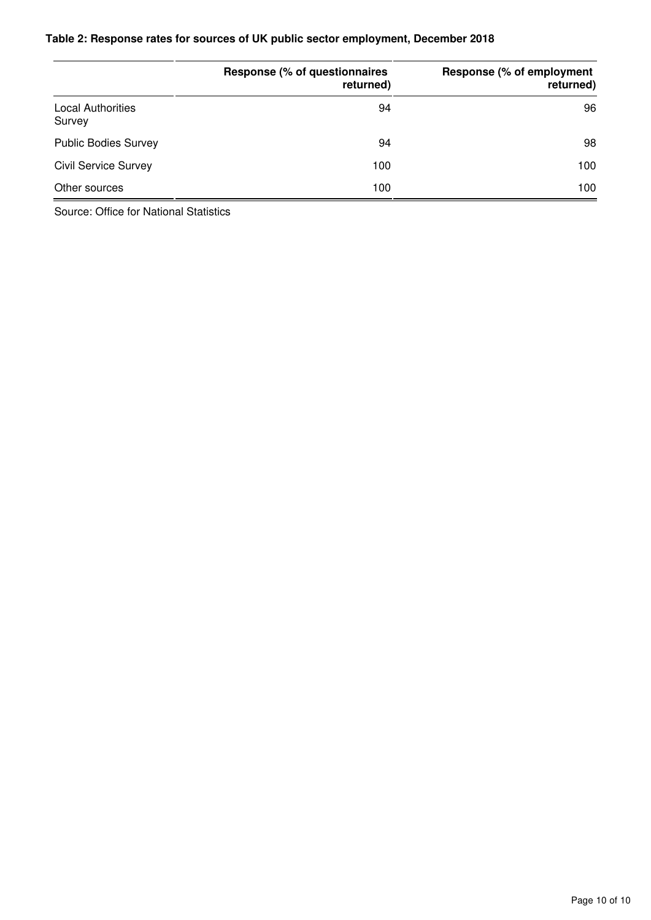### **Table 2: Response rates for sources of UK public sector employment, December 2018**

|                                    | Response (% of questionnaires<br>returned) | Response (% of employment<br>returned) |
|------------------------------------|--------------------------------------------|----------------------------------------|
| <b>Local Authorities</b><br>Survey | 94                                         | 96                                     |
| <b>Public Bodies Survey</b>        | 94                                         | 98                                     |
| <b>Civil Service Survey</b>        | 100                                        | 100                                    |
| Other sources                      | 100                                        | 100                                    |

Source: Office for National Statistics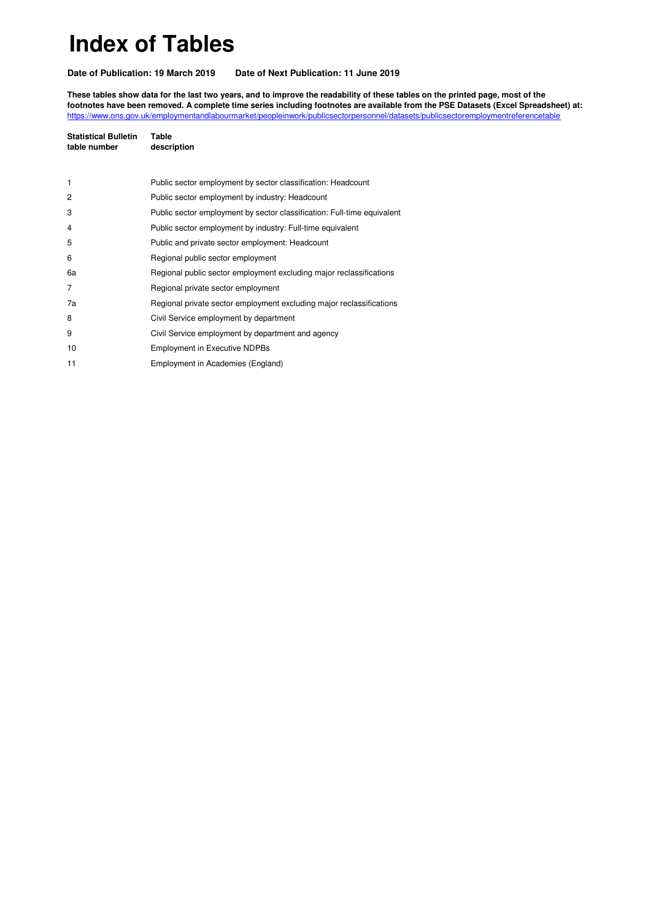# **Index of Tables**

**Date of Publication: 19 March 2019 Date of Next Publication: 11 June 2019**

**These tables show data for the last two years, and to improve the readability of these tables on the printed page, most of the footnotes have been removed. A complete time series including footnotes are available from the PSE Datasets (Excel Spreadsheet) at:** <https://www.ons.gov.uk/employmentandlabourmarket/peopleinwork/publicsectorpersonnel/datasets/publicsectoremploymentreferencetable>

| <b>Statistical Bulletin</b><br>table number | Table<br>description                                                    |
|---------------------------------------------|-------------------------------------------------------------------------|
|                                             |                                                                         |
| 1                                           | Public sector employment by sector classification: Headcount            |
| $\overline{c}$                              | Public sector employment by industry: Headcount                         |
| 3                                           | Public sector employment by sector classification: Full-time equivalent |
| 4                                           | Public sector employment by industry: Full-time equivalent              |
| 5                                           | Public and private sector employment: Headcount                         |
| 6                                           | Regional public sector employment                                       |
| 6a                                          | Regional public sector employment excluding major reclassifications     |
| 7                                           | Regional private sector employment                                      |
| 7a                                          | Regional private sector employment excluding major reclassifications    |
| 8                                           | Civil Service employment by department                                  |
| 9                                           | Civil Service employment by department and agency                       |
| 10                                          | <b>Employment in Executive NDPBs</b>                                    |
| 11                                          | Employment in Academies (England)                                       |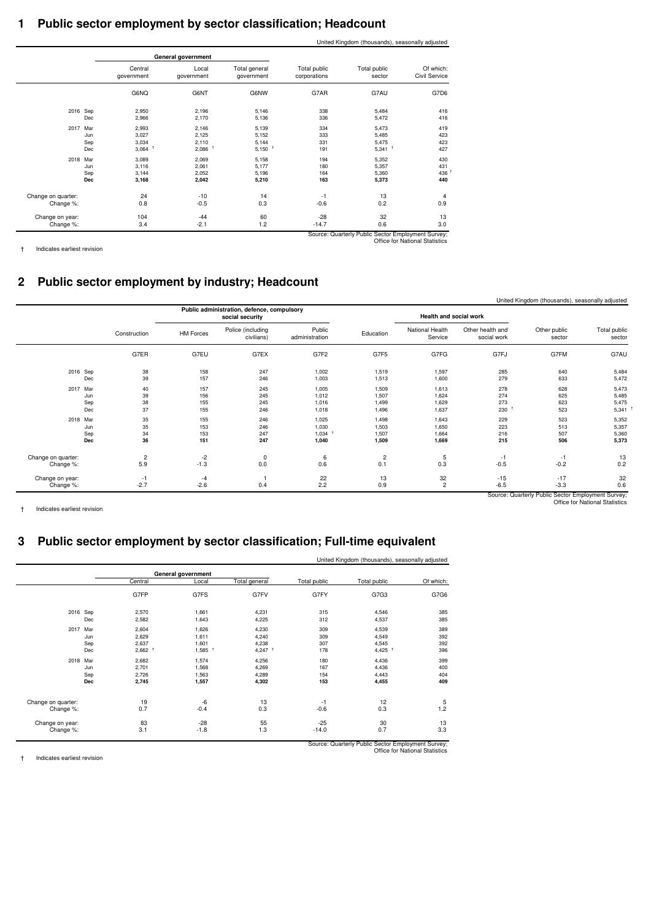### **1 Public sector employment by sector classification; Headcount**

|                    |            |                       |                      |                             |                              | United Kingdom (thousands), seasonally adjusted    |                                |
|--------------------|------------|-----------------------|----------------------|-----------------------------|------------------------------|----------------------------------------------------|--------------------------------|
|                    |            |                       | General government   |                             |                              |                                                    |                                |
|                    |            | Central<br>government | Local<br>government  | Total general<br>government | Total public<br>corporations | Total public<br>sector                             | Of which:<br>Civil Service     |
|                    |            | G6NQ                  | G6NT                 | G6NW                        | G7AR                         | G7AU                                               | G7D6                           |
| 2016 Sep           |            | 2,950                 | 2,196                | 5,146                       | 338                          | 5,484                                              | 416                            |
|                    | Dec        | 2,966                 | 2,170                | 5,136                       | 336                          | 5,472                                              | 416                            |
| 2017 Mar           |            | 2,993                 | 2.146                | 5,139                       | 334                          | 5,473                                              | 419                            |
|                    | Jun        | 3,027                 | 2.125                | 5.152                       | 333                          | 5,485                                              | 423                            |
|                    | Sep        | 3.034                 | 2.110                | 5.144                       | 331                          | 5,475                                              | 423                            |
|                    | Dec        | $3,064$ <sup>+</sup>  | $2,086$ <sup>+</sup> | $5,150$ <sup>†</sup>        | 191                          | $5,341$ <sup>+</sup>                               | 427                            |
| 2018 Mar           |            | 3,089                 | 2,069                | 5,158                       | 194                          | 5,352                                              | 430                            |
|                    | Jun        | 3,116                 | 2,061                | 5,177                       | 180                          | 5,357                                              | 431                            |
|                    | Sep        | 3.144                 | 2.052                | 5,196                       | 164                          | 5,360                                              | 436                            |
|                    | <b>Dec</b> | 3,168                 | 2,042                | 5.210                       | 163                          | 5,373                                              | 440                            |
| Change on quarter: |            | 24                    | $-10$                | 14                          | $-1$                         | 13                                                 | 4                              |
| Change %:          |            | 0.8                   | $-0.5$               | 0.3                         | $-0.6$                       | 0.2                                                | 0.9                            |
| Change on year:    |            | 104                   | $-44$                | 60                          | $-28$                        | 32                                                 | 13                             |
| Change %:          |            | 3.4                   | $-2.1$               | 1.2                         | $-14.7$                      | 0.6                                                | 3.0                            |
|                    |            |                       |                      |                             |                              | Source: Quarterly Public Sector Employment Survey; | Office for National Statistics |

† Indicates earliest revision

### **2 Public sector employment by industry; Headcount**

|                    |                |                  |                                                                                         |                          |           |                            |                                 | United Kingdom (thousands), seasonally adjusted |                        |
|--------------------|----------------|------------------|-----------------------------------------------------------------------------------------|--------------------------|-----------|----------------------------|---------------------------------|-------------------------------------------------|------------------------|
|                    |                |                  | Public administration, defence, compulsory<br>Health and social work<br>social security |                          |           |                            |                                 |                                                 |                        |
|                    | Construction   | <b>HM Forces</b> | Police (including<br>civilians)                                                         | Public<br>administration | Education | National Health<br>Service | Other health and<br>social work | Other public<br>sector                          | Total public<br>sector |
|                    | G7ER           | G7EU             | G7EX                                                                                    | G7F2                     | G7F5      | G7FG                       | G7FJ                            | G7FM                                            | G7AU                   |
| 2016 Sep           | 38             | 158              | 247                                                                                     | 1,002                    | 1,519     | 1,597                      | 285                             | 640                                             | 5,484                  |
| Dec                | 39             | 157              | 246                                                                                     | 1,003                    | 1,513     | 1,600                      | 279                             | 633                                             | 5,472                  |
| 2017 Mar           | 40             | 157              | 245                                                                                     | 1,005                    | 1,509     | 1,613                      | 278                             | 628                                             | 5,473                  |
| Jun                | 39             | 156              | 245                                                                                     | 1,012                    | 1,507     | 1,624                      | 274                             | 625                                             | 5,485                  |
| Sep                | 38             | 155              | 245                                                                                     | 1,016                    | 1,499     | 1,629                      | 273                             | 623                                             | 5,475                  |
| Dec                | 37             | 155              | 246                                                                                     | 1,018                    | 1,496     | 1,637                      | 230                             | 523                                             | 5,341                  |
| 2018 Mar           | 35             | 155              | 246                                                                                     | 1,025                    | 1,498     | 1,643                      | 229                             | 523                                             | 5,352                  |
| Jun                | 35             | 153              | 246                                                                                     | 1,030                    | 1,503     | 1,650                      | 223                             | 513                                             | 5,357                  |
| Sep                | 34             | 153              | 247                                                                                     | 1,034                    | 1,507     | 1,664                      | 216                             | 507                                             | 5,360                  |
| Dec                | 36             | 151              | 247                                                                                     | 1,040                    | 1,509     | 1,669                      | 215                             | 506                                             | 5,373                  |
| Change on quarter: | $\overline{c}$ | -2               | 0                                                                                       | 6                        | 2         | 5                          | $-1$                            | $-1$                                            | 13                     |
| Change %:          | 5.9            | $-1.3$           | 0.0                                                                                     | 0.6                      | 0.1       | 0.3                        | $-0.5$                          | $-0.2$                                          | 0.2                    |
| Change on year:    | $-1$           | $-4$             | 0.4                                                                                     | 22                       | 13        | 32                         | $-15$                           | $-17$                                           | 32                     |
| Change %:          | $-2.7$         | $-2.6$           |                                                                                         | 2.2                      | 0.9       | $\overline{c}$             | $-6.5$                          | $-3.3$                                          | 0.6                    |

† Indicates earliest revision

Source: Quarterly Public Sector Employment Survey; Office for National Statistics

### **3 Public sector employment by sector classification; Full-time equivalent**

|                    |            |                      |                      |                      |              | United Kingdom (thousands), seasonally adjusted |           |
|--------------------|------------|----------------------|----------------------|----------------------|--------------|-------------------------------------------------|-----------|
|                    |            |                      | General government   |                      |              |                                                 |           |
|                    |            | Central              | Local                | Total general        | Total public | Total public                                    | Of which: |
|                    |            | G7FP                 | G7FS                 | G7FV                 | G7FY         | G7G3                                            | G7G6      |
| 2016 Sep           |            | 2,570                | 1,661                | 4,231                | 315          | 4,546                                           | 385       |
|                    | Dec        | 2,582                | 1.643                | 4,225                | 312          | 4,537                                           | 385       |
| 2017               | Mar        | 2,604                | 1,626                | 4,230                | 309          | 4,539                                           | 389       |
|                    | Jun        | 2,629                | 1,611                | 4,240                | 309          | 4,549                                           | 392       |
|                    | Sep        | 2,637                | 1,601                | 4,238                | 307          | 4,545                                           | 392       |
|                    | Dec        | $2,662$ <sup>†</sup> | $1,585$ <sup>†</sup> | $4,247$ <sup>†</sup> | 178          | $4,425$ <sup>+</sup>                            | 396       |
| 2018 Mar           |            | 2,682                | 1,574                | 4,256                | 180          | 4,436                                           | 399       |
|                    | Jun        | 2,701                | 1,568                | 4,269                | 167          | 4,436                                           | 400       |
|                    | Sep        | 2,726                | 1,563                | 4,289                | 154          | 4,443                                           | 404       |
|                    | <b>Dec</b> | 2,745                | 1,557                | 4,302                | 153          | 4,455                                           | 409       |
| Change on quarter: |            | 19                   | -6                   | 13                   | $-1$         | 12                                              | 5         |
| Change %:          |            | 0.7                  | $-0.4$               | 0.3                  | $-0.6$       | 0.3                                             | 1.2       |
| Change on year:    |            | 83                   | $-28$                | 55                   | $-25$        | 30                                              | 13        |
| Change %:          |            | 3.1                  | $-1.8$               | 1.3                  | $-14.0$      | 0.7                                             | 3.3       |

† Indicates earliest revision

Source: Quarterly Public Sector Employment Survey; Office for National Statistics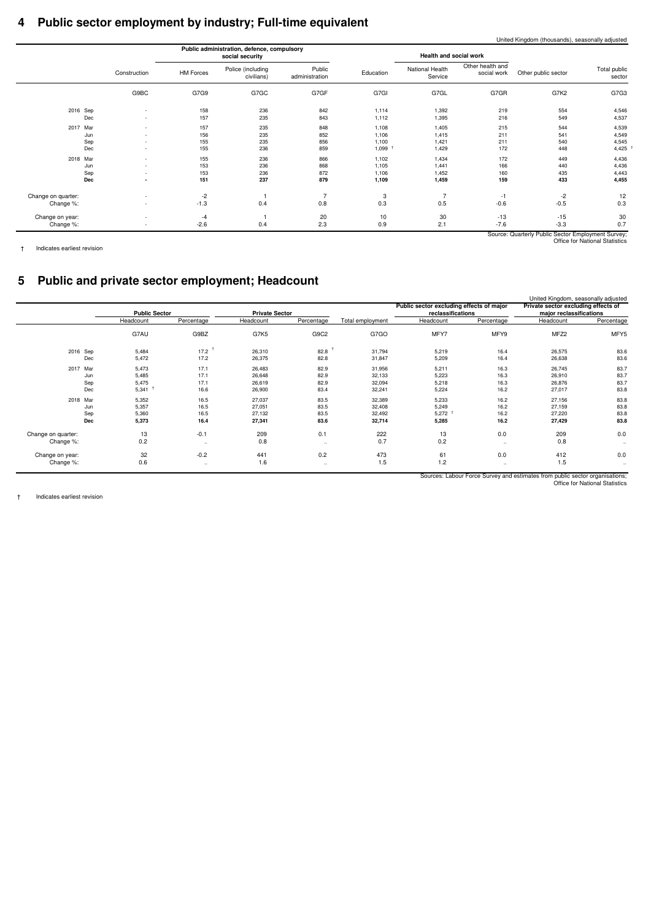### **4 Public sector employment by industry; Full-time equivalent**

|                        |                     |                                 | Health and social work     |           |                          | Public administration, defence, compulsory<br>social security |                  |                          |                    |
|------------------------|---------------------|---------------------------------|----------------------------|-----------|--------------------------|---------------------------------------------------------------|------------------|--------------------------|--------------------|
| Total public<br>sector | Other public sector | Other health and<br>social work | National Health<br>Service | Education | Public<br>administration | Police (including<br>civilians)                               | <b>HM Forces</b> | Construction             |                    |
| G7G3                   | G7K2                | G7GR                            | G7GL                       | G7GI      | G7GF                     | G7GC                                                          | G7G9             | G9BC                     |                    |
| 4,546                  | 554                 | 219                             | 1,392                      | 1,114     | 842                      | 236                                                           | 158              |                          | 2016 Sep           |
| 4,537                  | 549                 | 216                             | 1,395                      | 1,112     | 843                      | 235                                                           | 157              | $\sim$                   | Dec                |
| 4,539                  | 544                 | 215                             | 1,405                      | 1,108     | 848                      | 235                                                           | 157              | $\overline{\phantom{a}}$ | Mar<br>2017        |
| 4,549                  | 541                 | 211                             | 1,415                      | 1,106     | 852                      | 235                                                           | 156              |                          | Jun                |
| 4,545                  | 540                 | 211                             | 1,421                      | 1,100     | 856                      | 235                                                           | 155              | $\sim$                   | Sep                |
| 4,425                  | 448                 | 172                             | 1,429                      | 1,099     | 859                      | 236                                                           | 155              |                          | Dec                |
| 4,436                  | 449                 | 172                             | 1,434                      | 1,102     | 866                      | 236                                                           | 155              |                          | 2018 Mar           |
| 4,436                  | 440                 | 166                             | 1,441                      | 1,105     | 868                      | 236                                                           | 153              | $\sim$                   | Jun                |
| 4,443                  | 435                 | 160                             | 1,452                      | 1,106     | 872                      | 236                                                           | 153              | $\overline{\phantom{a}}$ | Sep                |
| 4,455                  | 433                 | 159                             | 1,459                      | 1,109     | 879                      | 237                                                           | 151              | $\overline{\phantom{a}}$ | Dec                |
| 12                     | $-2$                | $-1$                            | $\overline{7}$             | 3         | $\overline{7}$           |                                                               | -2               |                          | Change on quarter: |
| 0.3                    | $-0.5$              | $-0.6$                          | 0.5                        | 0.3       | 0.8                      | 0.4                                                           | $-1.3$           |                          | Change %:          |
| 30                     | $-15$               | $-13$                           | 30                         | 10        | 20                       |                                                               | -4               |                          | Change on year:    |
| 0.7                    | $-3.3$              | $-7.6$                          | 2.1                        | 0.9       | 2.3                      | 0.4                                                           | $-2.6$           |                          | Change %:          |

† Indicates earliest revision

### **5 Public and private sector employment; Headcount**

|                    |                      |              |                       |              |                  | Public sector excluding effects of major |              | United Kingdom, seasonally adjusted<br>Private sector excluding effects of |              |
|--------------------|----------------------|--------------|-----------------------|--------------|------------------|------------------------------------------|--------------|----------------------------------------------------------------------------|--------------|
|                    | <b>Public Sector</b> |              | <b>Private Sector</b> |              |                  | reclassifications                        |              | major reclassifications                                                    |              |
|                    | Headcount            | Percentage   | Headcount             | Percentage   | Total employment | Headcount                                | Percentage   | Headcount                                                                  | Percentage   |
|                    | G7AU                 | G9BZ         | G7K5                  | G9C2         | G7GO             | MFY7                                     | MFY9         | MFZ2                                                                       | MFY5         |
| 2016 Sep           | 5,484                | 17.2         | 26,310                | 82.8         | 31,794           | 5,219                                    | 16.4         | 26,575                                                                     | 83.6         |
| Dec                | 5,472                | 17.2         | 26,375                | 82.8         | 31,847           | 5,209                                    | 16.4         | 26,638                                                                     | 83.6         |
| 2017<br>Mar<br>Jun | 5,473<br>5,485       | 17.1<br>17.1 | 26,483<br>26,648      | 82.9<br>82.9 | 31,956<br>32,133 | 5,211<br>5,223                           | 16.3<br>16.3 | 26,745<br>26,910                                                           | 83.7<br>83.7 |
| Sep                | 5,475                | 17.1         | 26,619                | 82.9         | 32,094           | 5,218                                    | 16.3         | 26,876                                                                     | 83.7         |
| Dec                | $5,341$ <sup>1</sup> | 16.6         | 26,900                | 83.4         | 32,241           | 5,224                                    | 16.2         | 27,017                                                                     | 83.8         |
| 2018 Mar           | 5,352                | 16.5         | 27,037                | 83.5         | 32,389           | 5,233                                    | 16.2         | 27,156                                                                     | 83.8         |
| Jun                | 5,357                | 16.5         | 27,051                | 83.5         | 32,408           | 5,249                                    | 16.2         | 27,159                                                                     | 83.8         |
| Sep                | 5,360                | 16.5         | 27,132                | 83.5         | 32,492           | $5,272$ <sup>†</sup>                     | 16.2         | 27,220                                                                     | 83.8         |
| Dec                | 5,373                | 16.4         | 27,341                | 83.6         | 32,714           | 5,285                                    | 16.2         | 27,429                                                                     | 83.8         |
| Change on quarter: | 13                   | $-0.1$       | 209                   | 0.1          | 222              | 13                                       | 0.0          | 209                                                                        | 0.0          |
| Change %:          | 0.2                  |              | 0.8                   | $\cdots$     | 0.7              | 0.2                                      | $\cdots$     | 0.8                                                                        | $\ldots$     |
| Change on year:    | 32                   | $-0.2$       | 441                   | 0.2          | 473              | 61                                       | 0.0          | 412                                                                        | 0.0          |
| Change %:          | 0.6                  |              | 1.6                   | $\ldots$     | 1.5              | 1.2                                      | $\ddotsc$    | 1.5                                                                        | $\ddotsc$    |
|                    |                      |              |                       |              |                  |                                          |              |                                                                            |              |

Sources: Labour Force Survey and estimates from public sector organisations; Office for National Statistics

† Indicates earliest revision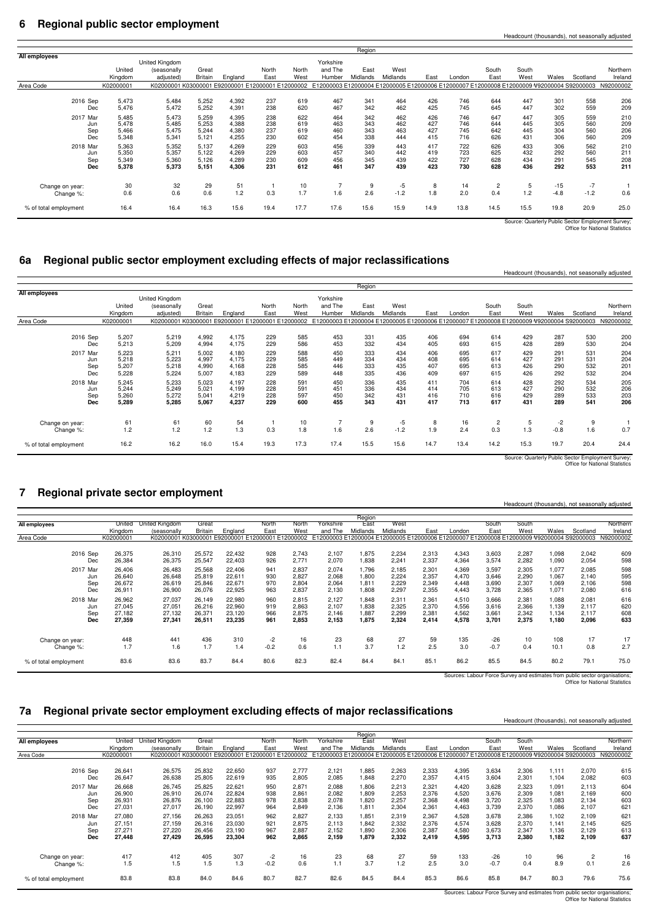#### **6 Regional public sector employment**

|                       |           |                                                   |                |         |       |       |                                                                                           | Region   |          |      |        |                |       |        |          |                                                   |
|-----------------------|-----------|---------------------------------------------------|----------------|---------|-------|-------|-------------------------------------------------------------------------------------------|----------|----------|------|--------|----------------|-------|--------|----------|---------------------------------------------------|
| All employees         |           |                                                   |                |         |       |       |                                                                                           |          |          |      |        |                |       |        |          |                                                   |
|                       |           | United Kingdom                                    |                |         |       |       | Yorkshire                                                                                 |          |          |      |        |                |       |        |          |                                                   |
|                       | United    | (seasonally                                       | Great          |         | North | North | and The                                                                                   | East     | West     |      |        | South          | South |        |          | Northern                                          |
|                       | Kingdom   | adjusted)                                         | <b>Britain</b> | England | East  | West  | Humber                                                                                    | Midlands | Midlands | East | London | East           | West  | Wales  | Scotland | Ireland                                           |
| Area Code             | K02000001 | K02000001 K03000001 E92000001 E12000001 E12000002 |                |         |       |       | E12000003 E12000004 E12000005 E12000006 E12000007 E12000008 E12000009 V92000004 S92000003 |          |          |      |        |                |       |        |          | N92000002                                         |
|                       |           |                                                   |                |         |       |       |                                                                                           |          |          |      |        |                |       |        |          |                                                   |
| 2016 Sep              | 5,473     | 5,484                                             | 5,252          | 4,392   | 237   | 619   | 467                                                                                       | 341      | 464      | 426  | 746    | 644            | 447   | 301    | 558      | 206                                               |
| Dec                   | 5,476     | 5,472                                             | 5,252          | 4,391   | 238   | 620   | 467                                                                                       | 342      | 462      | 425  | 745    | 645            | 447   | 302    | 559      | 209                                               |
| 2017 Mar              | 5,485     | 5,473                                             | 5,259          | 4,395   | 238   | 622   | 464                                                                                       | 342      | 462      | 426  | 746    | 647            | 447   | 305    | 559      | 210                                               |
| Jun                   | 5,478     | 5,485                                             | 5,253          | 4.388   | 238   | 619   | 463                                                                                       | 343      | 462      | 427  | 746    | 644            | 445   | 305    | 560      | 209                                               |
| Sep                   | 5,466     | 5,475                                             | 5,244          | 4,380   | 237   | 619   | 460                                                                                       | 343      | 463      | 427  | 745    | 642            | 445   | 304    | 560      | 206                                               |
| Dec                   | 5,348     | 5,341                                             | 5,121          | 4,255   | 230   | 602   | 454                                                                                       | 338      | 444      | 415  | 716    | 626            | 431   | 306    | 560      | 209                                               |
| 2018 Mar              | 5,363     | 5,352                                             | 5,137          | 4,269   | 229   | 603   | 456                                                                                       | 339      | 443      | 417  | 722    | 626            | 433   | 306    | 562      | 210                                               |
| Jun                   | 5,350     | 5,357                                             | 5,122          | 4,269   | 229   | 603   | 457                                                                                       | 340      | 442      | 419  | 723    | 625            | 432   | 292    | 560      | 211                                               |
| Sep                   | 5,349     | 5,360                                             | 5,126          | 4,289   | 230   | 609   | 456                                                                                       | 345      | 439      | 422  | 727    | 628            | 434   | 291    | 545      | 208                                               |
| Dec                   | 5,378     | 5,373                                             | 5,151          | 4,306   | 231   | 612   | 461                                                                                       | 347      | 439      | 423  | 730    | 628            | 436   | 292    | 553      | 211                                               |
|                       |           |                                                   |                |         |       |       |                                                                                           |          |          |      |        |                |       |        |          |                                                   |
| Change on year:       | 30        | 32                                                | 29             | 51      |       | 10    |                                                                                           | 9        | $-5$     | 8    | 14     | $\overline{c}$ | 5     | $-15$  | $-7$     |                                                   |
| Change %:             | 0.6       | 0.6                                               | 0.6            | 1.2     | 0.3   | 1.7   | 1.6                                                                                       | 2.6      | $-1.2$   | 1.8  | 2.0    | 0.4            | 1.2   | $-4.8$ | $-1.2$   | 0.6                                               |
| % of total employment | 16.4      | 16.4                                              | 16.3           | 15.6    | 19.4  | 17.7  | 17.6                                                                                      | 15.6     | 15.9     | 14.9 | 13.8   | 14.5           | 15.5  | 19.8   | 20.9     | 25.0                                              |
|                       |           |                                                   |                |         |       |       |                                                                                           |          |          |      |        |                |       |        |          | Source: Quarterly Public Sector Employment Survey |

Source: Quarterly Public Sector Employment Survey; Office for National Statistics

Headcount (thousands), not seasonally adju

### **6a Regional public sector employment excluding effects of major reclassifications**

|                       |                                           |                                           |                                           |                                           |                                           |                                                   |                                 |                                                                                           | Region                          |                                 |                                 |                                 |                                 |                                 |                                 |                                 |                                 |
|-----------------------|-------------------------------------------|-------------------------------------------|-------------------------------------------|-------------------------------------------|-------------------------------------------|---------------------------------------------------|---------------------------------|-------------------------------------------------------------------------------------------|---------------------------------|---------------------------------|---------------------------------|---------------------------------|---------------------------------|---------------------------------|---------------------------------|---------------------------------|---------------------------------|
| <b>All employees</b>  |                                           |                                           | United Kingdom                            |                                           |                                           |                                                   |                                 | Yorkshire                                                                                 |                                 |                                 |                                 |                                 |                                 |                                 |                                 |                                 |                                 |
|                       |                                           | United                                    | (seasonally                               | Great                                     |                                           | North                                             | North                           | and The                                                                                   | East                            | West                            |                                 |                                 | South                           | South                           |                                 |                                 | Northern                        |
|                       |                                           | Kingdom                                   | adjusted)                                 | <b>Britain</b>                            | England                                   | East                                              | West                            | Humber                                                                                    | Midlands                        | Midlands                        | East                            | London                          | East                            | West                            | Wales                           | Scotland                        | Ireland                         |
| Area Code             |                                           | K02000001                                 |                                           |                                           |                                           | K02000001 K03000001 E92000001 E12000001 E12000002 |                                 | E12000003 E12000004 E12000005 E12000006 E12000007 E12000008 E12000009 V92000004 S92000003 |                                 |                                 |                                 |                                 |                                 |                                 |                                 |                                 | N92000002                       |
|                       | 2016 Sep<br>Dec<br>2017 Mar<br>Jun<br>Sep | 5,207<br>5,213<br>5,223<br>5,218<br>5,207 | 5,219<br>5,209<br>5,211<br>5,223<br>5,218 | 4,992<br>4,994<br>5,002<br>4,997<br>4,990 | 4.175<br>4.175<br>4.180<br>4,175<br>4,168 | 229<br>229<br>229<br>229<br>228                   | 585<br>586<br>588<br>585<br>585 | 453<br>453<br>450<br>449<br>446                                                           | 331<br>332<br>333<br>334<br>333 | 435<br>434<br>434<br>434<br>435 | 406<br>405<br>406<br>408<br>407 | 694<br>693<br>695<br>695<br>695 | 614<br>615<br>617<br>614<br>613 | 429<br>428<br>429<br>427<br>426 | 287<br>289<br>291<br>291<br>290 | 530<br>530<br>531<br>531<br>532 | 200<br>204<br>204<br>204<br>201 |
|                       | Dec                                       | 5,228                                     | 5,224                                     | 5,007                                     | 4,183                                     | 229                                               | 589                             | 448                                                                                       | 335                             | 436                             | 409                             | 697                             | 615                             | 426                             | 292                             | 532                             | 204                             |
|                       | 2018 Mar<br>Jun<br>Sep<br>Dec             | 5,245<br>5,244<br>5,260<br>5,289          | 5,233<br>5,249<br>5,272<br>5,285          | 5,023<br>5,021<br>5,041<br>5,067          | 4.197<br>4.199<br>4.219<br>4,237          | 228<br>228<br>228<br>229                          | 591<br>591<br>597<br>600        | 450<br>451<br>450<br>455                                                                  | 336<br>336<br>342<br>343        | 435<br>434<br>431<br>431        | 411<br>414<br>416<br>417        | 704<br>705<br>710<br>713        | 614<br>613<br>616<br>617        | 428<br>427<br>429<br>431        | 292<br>290<br>289<br>289        | 534<br>532<br>533<br>541        | 205<br>206<br>203<br>206        |
| Change on year:       | Change %:                                 | 61<br>1.2                                 | 61<br>1.2                                 | 60<br>1.2                                 | 54<br>1.3                                 | 0.3                                               | 10<br>1.8                       | 1.6                                                                                       | 9<br>2.6                        | -5<br>$-1.2$                    | 8<br>1.9                        | 16<br>2.4                       | 2<br>0.3                        | 5<br>1.3                        | $-2$<br>$-0.8$                  | 9<br>1.6                        | 0.7                             |
| % of total employment |                                           | 16.2                                      | 16.2                                      | 16.0                                      | 15.4                                      | 19.3                                              | 17.3                            | 17.4                                                                                      | 15.5                            | 15.6                            | 14.7                            | 13.4                            | 14.2                            | 15.3                            | 19.7                            | 20.4                            | 24.4                            |

Source: Quarterly Public Sector Employment Survey; Office for National Statistics

Headcount (thousands), not seasonally adjusted

#### **7 Regional private sector employment**

|                       |            | United         | United Kingdom | Great                                             |         | North  | North | Yorkshire                                                                                 | Region<br>East | West     |       |        | South  | South |       |          | Northern  |
|-----------------------|------------|----------------|----------------|---------------------------------------------------|---------|--------|-------|-------------------------------------------------------------------------------------------|----------------|----------|-------|--------|--------|-------|-------|----------|-----------|
| All employees         |            | <b>Kingdom</b> | (seasonally    | <b>Britain</b>                                    | England | East   | West  | and The                                                                                   | Midlands       | Midlands | East  | London | East   | West  | Wales | Scotland | Ireland   |
| Area Code             |            | K02000001      |                | K02000001 K03000001 E92000001 E12000001 E12000002 |         |        |       | E12000003 E12000004 E12000005 E12000006 E12000007 E12000008 E12000009 V92000004 S92000003 |                |          |       |        |        |       |       |          | N92000002 |
|                       |            |                |                |                                                   |         |        |       |                                                                                           |                |          |       |        |        |       |       |          |           |
|                       | 2016 Sep   | 26,375         | 26,310         | 25,572                                            | 22,432  | 928    | 2,743 | 2,107                                                                                     | 1,875          | 2,234    | 2,313 | 4,343  | 3,603  | 2,287 | 1,098 | 2,042    | 609       |
|                       | Dec        | 26,384         | 26,375         | 25,547                                            | 22,403  | 926    | 2,771 | 2,070                                                                                     | 1,838          | 2,241    | 2,337 | 4,364  | 3,574  | 2,282 | 1,090 | 2,054    | 598       |
|                       | 2017 Mar   | 26,406         | 26,483         | 25,568                                            | 22,406  | 941    | 2,837 | 2,074                                                                                     | 1,796          | 2,185    | 2,301 | 4,369  | 3,597  | 2,305 | 1,077 | 2,085    | 598       |
|                       | Jun        | 26,640         | 26,648         | 25,819                                            | 22,611  | 930    | 2,827 | 2,068                                                                                     | 1,800          | 2,224    | 2,357 | 4,470  | 3,646  | 2,290 | 1.067 | 2,140    | 595       |
|                       | Sep        | 26,672         | 26,619         | 25,846                                            | 22,671  | 970    | 2,804 | 2,064                                                                                     | 1,811          | 2,229    | 2,349 | 4,448  | 3,690  | 2,307 | 1,069 | 2,106    | 598       |
|                       | Dec        | 26,911         | 26,900         | 26,076                                            | 22,925  | 963    | 2,837 | 2,130                                                                                     | 1,808          | 2,297    | 2,355 | 4,443  | 3,728  | 2,365 | 1.071 | 2,080    | 616       |
|                       | 2018 Mar   | 26,962         | 27,037         | 26,149                                            | 22,980  | 960    | 2,815 | 2,127                                                                                     | 1,848          | 2,311    | 2,361 | 4,510  | 3,666  | 2,381 | 1,088 | 2,081    | 616       |
|                       | Jun        | 27,045         | 27,051         | 26,216                                            | 22,960  | 919    | 2,863 | 2.107                                                                                     | 1,838          | 2,325    | 2,370 | 4,556  | 3,616  | 2,366 | 1,139 | 2,117    | 620       |
|                       | Sep        | 27.182         | 27,132         | 26,371                                            | 23.120  | 966    | 2,875 | 2.146                                                                                     | 1,887          | 2,299    | 2,381 | 4,562  | 3,661  | 2,342 | 1,134 | 2,117    | 608       |
|                       | <b>Dec</b> | 27,359         | 27,341         | 26,511                                            | 23,235  | 961    | 2,853 | 2,153                                                                                     | 1,875          | 2,324    | 2,414 | 4,578  | 3,701  | 2,375 | 1,180 | 2,096    | 633       |
|                       |            | 448            | 441            | 436                                               | 310     | $-2$   | 16    | 23                                                                                        | 68             | 27       | 59    | 135    | $-26$  | 10    | 108   | 17       | 17        |
| Change on year:       |            | 1.7            | 1.6            | 1.7                                               | 1.4     | $-0.2$ | 0.6   | 1.1                                                                                       | 3.7            | 1.2      | 2.5   | 3.0    | $-0.7$ | 0.4   | 10.1  | 0.8      | 2.7       |
|                       | Change %:  |                |                |                                                   |         |        |       |                                                                                           |                |          |       |        |        |       |       |          |           |
| % of total employment |            | 83.6           | 83.6           | 83.7                                              | 84.4    | 80.6   | 82.3  | 82.4                                                                                      | 84.4           | 84.1     | 85.1  | 86.2   | 85.5   | 84.5  | 80.2  | 79.1     | 75.0      |

Sources: Labour Force Survey and estimates from public sector organisations; Office for National Statistics

Headcount (thousands), not seasonally adjusted

### **7a Regional private sector employment excluding effects of major reclassifications**

**All employees** Area Code K02000001 K02000001 K03000001 E92000001 E12000001 E12000002 E12000008 E12000000 E12000006 E12000007 E12000008 E12000008 E12000009 V92000004 S92000003 N9200002 2016 Sep 26,641 26,575 25,832 22,650 937 2,777 2,121 1,885 2,263 2,333 4,395 3,634 2,306 1,111 2,070 615 Dec 26,647 26,638 25,805 22,619 935 2,805 2,085 1,848 2,270 2,357 4,415 3,604 2,301 1,104 2,082 603 2017 Mar 26,668 26,745 25,825 22,621 950 2,871 2,088 1,806 2,213 2,321 4,420 3,628 2,323 1,091 2,113 604 Jun 26,900 26,910 26,074 22,824 938 2,861 2,082 1,809 2,253 2,376 4,520 3,676 2,309 1,081 2,169 600 Sep 26,931 26,876 26,100 22,883 978 2,838 2,078 1,820 2,257 2,368 4,498 3,720 2,325 1,083 2,134 603 Dec 27,031 27,017 26,190 22,997 964 2,849 2,136 1,811 2,304 2,361 4,463 3,739 2,370 1,086 2,107 621 2018 Mar 27,080 27,156 26,263 23,051 962 2,827 2,133 1,851 2,319 2,367 4,528 3,678 2,386 1,102 2,109 621 Jun 27,151 27,159 26,316 23,030 921 2,875 2,113 1,842 2,332 2,376 4,574 3,628 2,370 1,141 2,145 625 Sep 27,271 27,220 26,456 23,190 967 2,887 2,152 1,890 2,306 2,387 4,580 3,673 2,347 1,136 2,129 613 **Dec 27,448 27,429 26,595 23,304 962 2,865 2,159 1,879 2,332 2,419 4,595 3,713 2,380 1,182 2,109 637** Change on year: 417 412 405 307 -2 16 23 68 27 59 133 -26 10 96 2 16 Change %: 1.5 1.5 1.5 1.3 -0.2 0.6 1.1 3.7 1.2 2.5 3.0 -0.7 0.4 8.9 0.1 2.6 % of total employment 83.8 83.8 84.0 84.6 80.7 82.7 82.6 84.4 85.3 86.6 85.8 84.7 80.3 79.6 75.6 Wales Scotland<br>000004 S92000003 Northern Ireland<br>N92000002 Region<br>East United Kingdom United Kingdom (seasonally<br>K02000001 k Great<br>Britair Britain England<br>03000001 E92000001 L North East North West<br>000002 Yorkshire and The  $\frac{\text{and The}}{\text{2000003 E}}$ dlands<br>00004 Wes dlands East London<br>00005 E12000006 E12000007 South East<br>East<br>1800000 South West<br>West<br>Websong

Sources: Labour Force Survey and estimates from public sector organisations; Office for National Statistics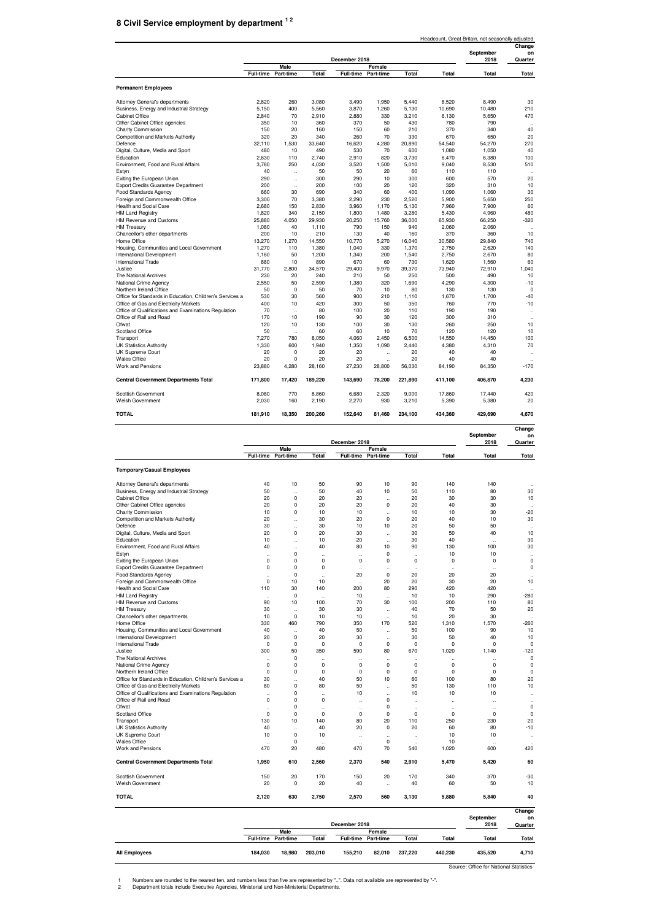### **8 Civil Service employment by department 1 2**

|                                                          | Headcount, Great Britain, not seasonally adjusted |                      |         |                  |                      |         |         |                   |                      |  |
|----------------------------------------------------------|---------------------------------------------------|----------------------|---------|------------------|----------------------|---------|---------|-------------------|----------------------|--|
|                                                          |                                                   |                      |         |                  |                      |         |         |                   | Change               |  |
|                                                          |                                                   |                      |         | December 2018    |                      |         |         | September<br>2018 | on<br>Quarter        |  |
|                                                          |                                                   | Male                 |         |                  | Female               |         |         |                   |                      |  |
|                                                          | <b>Full-time</b>                                  | Part-time            | Total   | <b>Full-time</b> | Part-time            | Total   | Total   | Total             | Total                |  |
| <b>Permanent Employees</b>                               |                                                   |                      |         |                  |                      |         |         |                   |                      |  |
|                                                          |                                                   |                      |         |                  |                      |         |         |                   |                      |  |
| Attorney General's departments                           | 2,820                                             | 260                  | 3,080   | 3,490            | 1,950                | 5,440   | 8,520   | 8,490             | 30                   |  |
| Business, Energy and Industrial Strategy                 | 5.150                                             | 400                  | 5.560   | 3.870            | 1.260                | 5.130   | 10,690  | 10,480            | 210                  |  |
| <b>Cabinet Office</b>                                    | 2,840                                             | 70                   | 2,910   | 2,880            | 330                  | 3,210   | 6,130   | 5,650             | 470                  |  |
| Other Cabinet Office agencies                            | 350                                               | 10                   | 360     | 370              | 50                   | 430     | 780     | 790               | $\ddot{\phantom{a}}$ |  |
| Charity Commission                                       | 150                                               | 20                   | 160     | 150              | 60                   | 210     | 370     | 340               | 40                   |  |
| Competition and Markets Authority                        | 320                                               | 20                   | 340     | 260              | 70                   | 330     | 670     | 650               | 20                   |  |
| Defence                                                  | 32,110                                            | 1,530                | 33,640  | 16.620           | 4,280                | 20.890  | 54,540  | 54,270            | 270                  |  |
| Digital, Culture, Media and Sport                        | 480                                               | 10                   | 490     | 530              | 70                   | 600     | 1,080   | 1,050             | 40                   |  |
| Education                                                | 2.630                                             | 110                  | 2.740   | 2.910            | 820                  | 3.730   | 6.470   | 6.380             | 100                  |  |
| Environment, Food and Rural Affairs                      | 3.780                                             | 250                  | 4,030   | 3.520            | 1,500                | 5.010   | 9,040   | 8,530             | 510                  |  |
| Estyn                                                    | 40                                                | $\ddot{\phantom{a}}$ | 50      | 50               | 20                   | 60      | 110     | 110               | $\ddot{\phantom{a}}$ |  |
| Exiting the European Union                               | 290                                               | $\ddot{\phantom{a}}$ | 300     | 290              | 10                   | 300     | 600     | 570               | 20                   |  |
| <b>Export Credits Guarantee Department</b>               | 200                                               | $\ddot{\phantom{0}}$ | 200     | 100              | 20                   | 120     | 320     | 310               | 10                   |  |
| <b>Food Standards Agency</b>                             | 660                                               | 30                   | 690     | 340              | 60                   | 400     | 1.090   | 1.060             | 30                   |  |
| Foreign and Commonwealth Office                          | 3,300                                             | 70                   | 3,380   | 2.290            | 230                  | 2.520   | 5,900   | 5,650             | 250                  |  |
| Health and Social Care                                   | 2,680                                             | 150                  | 2,830   | 3,960            | 1,170                | 5,130   | 7,960   | 7,900             | 60                   |  |
| <b>HM Land Registry</b>                                  | 1.820                                             | 340                  | 2.150   | 1.800            | 1.480                | 3.280   | 5.430   | 4,960             | 480                  |  |
| HM Revenue and Customs                                   | 25,880                                            | 4,050                | 29,930  | 20,250           | 15,760               | 36,000  | 65,930  | 66,250            | $-320$               |  |
| <b>HM Treasury</b>                                       | 1,080                                             | 40                   | 1,110   | 790              | 150                  | 940     | 2,060   | 2,060             | $\ddot{\phantom{a}}$ |  |
| Chancellor's other departments                           | 200                                               | 10                   | 210     | 130              | 40                   | 160     | 370     | 360               | 10                   |  |
| Home Office                                              | 13,270                                            | 1,270                | 14,550  | 10,770           | 5,270                | 16,040  | 30,580  | 29,840            | 740                  |  |
| Housing, Communities and Local Government                | 1,270                                             | 110                  | 1,380   | 1,040            | 330                  | 1,370   | 2,750   | 2,620             | 140                  |  |
| International Development                                | 1.160                                             | 50                   | 1,200   | 1,340            | 200                  | 1,540   | 2,750   | 2,670             | 80                   |  |
| International Trade                                      | 880                                               | 10                   | 890     | 670              | 60                   | 730     | 1,620   | 1,560             | 60                   |  |
| Justice                                                  | 31,770                                            | 2,800                | 34,570  | 29,400           | 9,970                | 39,370  | 73,940  | 72,910            | 1.040                |  |
| The National Archives                                    | 230                                               | 20                   | 240     | 210              | 50                   | 250     | 500     | 490               | 10                   |  |
| National Crime Agency                                    | 2,550                                             | 50                   | 2,590   | 1,380            | 320                  | 1,690   | 4,290   | 4,300             | $-10$                |  |
| Northern Ireland Office                                  | 50                                                | $\mathbf 0$          | 50      | 70               | 10                   | 80      | 130     | 130               | $\mathbf 0$          |  |
| Office for Standards in Education, Children's Services a | 530                                               | 30                   | 560     | 900              | 210                  | 1.110   | 1.670   | 1.700             | $-40$                |  |
| Office of Gas and Electricity Markets                    | 400                                               | 10                   | 420     | 300              | 50                   | 350     | 760     | 770               | $-10$                |  |
| Office of Qualifications and Examinations Regulation     | 70                                                | $\ddot{\phantom{a}}$ | 80      | 100              | 20                   | 110     | 190     | 190               | $\ddot{\phantom{0}}$ |  |
| Office of Rail and Road                                  | 170                                               | 10                   | 190     | 90               | 30                   | 120     | 300     | 310               |                      |  |
| Ofwat                                                    | 120                                               | 10                   | 130     | 100              | 30                   | 130     | 260     | 250               | 10                   |  |
| Scotland Office                                          | 50                                                | $\ddot{\phantom{a}}$ | 60      | 60               | 10                   | 70      | 120     | 120               | 10                   |  |
| Transport                                                | 7,270                                             | 780                  | 8,050   | 4,060            | 2,450                | 6,500   | 14,550  | 14,450            | 100                  |  |
| <b>UK Statistics Authority</b>                           | 1.330                                             | 600                  | 1.940   | 1.350            | 1.090                | 2.440   | 4.380   | 4.310             | 70                   |  |
| UK Supreme Court                                         | 20                                                | $\Omega$             | 20      | 20               | $\ddot{\phantom{0}}$ | 20      | 40      | 40                |                      |  |
| <b>Wales Office</b>                                      | 20                                                | 0                    | 20      | 20               | $\ddot{\phantom{a}}$ | 20      | 40      | 40                |                      |  |
| Work and Pensions                                        | 23,880                                            | 4,280                | 28,160  | 27,230           | 28,800               | 56,030  | 84,190  | 84,350            | $-170$               |  |
| <b>Central Government Departments Total</b>              | 171,800                                           | 17,420               | 189,220 | 143,690          | 78,200               | 221,890 | 411,100 | 406,870           | 4,230                |  |
| Scottish Government                                      | 8,080                                             | 770                  | 8,860   | 6,680            | 2,320                | 9,000   | 17,860  | 17,440            | 420                  |  |
| Welsh Government                                         | 2,030                                             | 160                  | 2.190   | 2,270            | 930                  | 3,210   | 5,390   | 5,380             | 20                   |  |
| <b>TOTAL</b>                                             | 181.910                                           | 18,350               | 200,260 | 152.640          | 81.460               | 234.100 | 434,360 | 429.690           | 4.670                |  |

|                                                          |                                    |                                     |                      |                                     |                      |                      |                      | September            | Change<br>on         |
|----------------------------------------------------------|------------------------------------|-------------------------------------|----------------------|-------------------------------------|----------------------|----------------------|----------------------|----------------------|----------------------|
|                                                          |                                    | Male                                |                      | December 2018                       | Female               |                      |                      | 2018                 | Quarter              |
|                                                          | <b>Full-time</b>                   | Part-time                           | Total                | <b>Full-time</b>                    | Part-time            | Total                | Total                | Total                | Total                |
| <b>Temporary/Casual Employees</b>                        |                                    |                                     |                      |                                     |                      |                      |                      |                      |                      |
| Attorney General's departments                           | 40                                 | 10                                  | 50                   | 90                                  | 10                   | 90                   | 140                  | 140                  |                      |
| Business, Energy and Industrial Strategy                 | 50                                 | $\ddot{\phantom{a}}$                | 50                   | 40                                  | 10                   | 50                   | 110                  | 80                   | 30                   |
| <b>Cabinet Office</b>                                    | 20                                 | $\mathbf 0$                         | 20                   | 20                                  | $\ddot{\phantom{a}}$ | 20                   | 30                   | 30                   | 10                   |
| Other Cabinet Office agencies                            | 20                                 | $\mathbf 0$                         | 20                   | 20                                  | $\mathbf 0$          | 20                   | 40                   | 30                   | $\ddot{\phantom{0}}$ |
| Charity Commission                                       | 10                                 | $\mathbf 0$                         | 10                   | 10                                  | .,                   | 10                   | 10                   | 30                   | $-20$                |
| <b>Competition and Markets Authority</b>                 | 20                                 | $\ddot{\phantom{a}}$                | 30                   | 20                                  | $\mathbf 0$          | 20                   | 40                   | 10                   | 30                   |
| Defence                                                  | 30                                 | $\ddot{\phantom{a}}$                | 30                   | 10                                  | 10                   | 20                   | 50                   | 50                   | $\ddot{\phantom{a}}$ |
| Digital, Culture, Media and Sport                        | 20                                 | $\mathbf 0$                         | 20                   | 30                                  | $\ddot{\phantom{0}}$ | 30                   | 50                   | 40                   | 10                   |
| Education                                                | 10                                 | $\ddot{\phantom{a}}$                | 10                   | 20                                  | $\ddot{\phantom{0}}$ | 30                   | 40                   | $\ddot{\phantom{a}}$ | 30                   |
| Environment, Food and Rural Affairs                      | 40                                 | $\ddot{\phantom{a}}$                | 40                   | 80                                  | 10                   | 90                   | 130                  | 100                  | 30                   |
| Estyn                                                    | $\ddot{\phantom{a}}$               | $\mathbf 0$                         | $\ddot{\phantom{a}}$ | $\ddot{\phantom{a}}$                | 0                    | $\ddot{\phantom{a}}$ | 10                   | 10                   | $\ddot{\phantom{a}}$ |
| Exiting the European Union                               | $^{\circ}$                         | $\mathbf 0$                         | $\mathbf 0$          | $^{\circ}$                          | $\mathbf 0$          | 0                    | $\mathbf 0$          | $\mathbf 0$          | $\mathbf 0$          |
| Export Credits Guarantee Department                      | $\mathbf 0$                        | $\mathbf 0$                         | $\mathbf 0$          |                                     | .,                   | $\ddot{\phantom{0}}$ | ä,                   | $\ddot{\phantom{0}}$ | $\mathbf 0$          |
| Food Standards Agency                                    | $\ddot{\phantom{a}}$               | $\mathbf 0$                         | $\ddot{\phantom{a}}$ | 20                                  | $\mathbf 0$          | 20                   | 20                   | 20                   |                      |
| Foreign and Commonwealth Office                          | $^{\circ}$                         | 10                                  | 10                   | $\ddot{\phantom{a}}$                | 20                   | 20                   | 30                   | 20                   | 10                   |
| Health and Social Care                                   | 110                                | 30                                  | 140                  | 200                                 | 80                   | 290                  | 420                  | 420                  | $\ddot{\phantom{a}}$ |
| <b>HM Land Registry</b>                                  |                                    | $\mathbf 0$                         | $\ddot{\phantom{a}}$ | 10                                  | $\ddot{\phantom{0}}$ | 10                   | 10                   | 290                  | $-280$               |
| HM Revenue and Customs                                   | 90                                 | 10                                  | 100                  | 70                                  | 30                   | 100                  | 200                  | 110                  | 80                   |
| <b>HM Treasury</b>                                       | 30                                 | $\ddot{\phantom{a}}$                | 30                   | 30                                  | J.                   | 40                   | 70                   | 50                   | 20                   |
| Chancellor's other departments                           | 10                                 | $\mathbf 0$                         | 10                   | 10                                  | $\ddot{\phantom{a}}$ | 10                   | 20                   | 30                   | $\ddot{\phantom{a}}$ |
| Home Office                                              | 330                                | 460                                 | 790                  | 350                                 | 170                  | 520                  | 1,310                | 1,570                | $-260$               |
| Housing, Communities and Local Government                | 40                                 | $\ddot{\phantom{a}}$                | 40                   | 50                                  | .,                   | 50                   | 100                  | 90                   | 10                   |
| <b>International Development</b>                         | 20                                 | $\mathbf 0$                         | 20                   | 30                                  | .,                   | 30                   | 50                   | 40                   | 10                   |
| International Trade                                      | $^{\circ}$                         | $\mathbf 0$                         | $\mathbf 0$          | $\mathbf 0$                         | 0                    | $\mathbf 0$          | $\mathbf 0$          | $\mathbf 0$          | $\mathbf 0$          |
| Justice                                                  | 300                                | 50                                  | 350                  | 590                                 | 80                   | 670                  | 1,020                | 1,140                | $-120$               |
| The National Archives                                    |                                    | $\mathbf 0$                         |                      |                                     |                      |                      |                      |                      | $\mathbf 0$          |
| National Crime Agency                                    | $\ddot{\phantom{0}}$<br>$^{\circ}$ | $\mathbf 0$                         | <br>$\mathbf 0$      | $\ddot{\phantom{0}}$<br>$\mathbf 0$ | .,<br>$\mathbf 0$    | <br>0                | ٠.<br>$\mathbf 0$    | <br>$\mathbf 0$      | $\mathbf 0$          |
| Northern Ireland Office                                  | $^{\circ}$                         | $\mathbf 0$                         | 0                    | $\mathbf 0$                         | 0                    | 0                    | $\mathbf 0$          | 0                    | $\mathbf 0$          |
|                                                          |                                    |                                     | 40                   |                                     |                      | 60                   |                      |                      | 20                   |
| Office for Standards in Education, Children's Services a | 30<br>80                           | $\ddot{\phantom{a}}$<br>$\mathbf 0$ | 80                   | 50<br>50                            | 10                   | 50                   | 100<br>130           | 80<br>110            | 10                   |
| Office of Gas and Electricity Markets                    |                                    |                                     |                      |                                     | $\ddot{\phantom{a}}$ |                      |                      |                      |                      |
| Office of Qualifications and Examinations Regulation     | $\ddotsc$                          | $\mathbf 0$                         | $\ddot{\phantom{a}}$ | 10                                  | .,                   | 10                   | 10                   | 10                   | $\ddot{\phantom{a}}$ |
| Office of Rail and Road                                  | $^{\circ}$                         | $\mathbf 0$                         | 0                    | $\ddot{\phantom{a}}$                | 0                    | $\ddot{\phantom{a}}$ | $\ddot{\phantom{a}}$ | $\ddot{\phantom{a}}$ | $\ddot{\phantom{a}}$ |
| Ofwat                                                    | $\ddot{\phantom{a}}$               | $\mathbf 0$                         | $\ddot{\phantom{a}}$ | $\ddot{\phantom{0}}$                | $\mathbf 0$          | $\ddot{\phantom{a}}$ | $\ddot{\phantom{a}}$ | $\ddot{\phantom{a}}$ | $\mathbf 0$          |
| Scotland Office                                          | $\mathbf 0$                        | $\mathbf 0$                         | $\mathbf 0$          | $\mathbf 0$                         | $\mathbf 0$          | $\pmb{0}$            | 0                    | $\pmb{0}$            | $\mathbf 0$          |
| Transport                                                | 130                                | 10                                  | 140                  | 80                                  | 20                   | 110                  | 250                  | 230                  | 20                   |
| <b>UK Statistics Authority</b>                           | 40                                 | $\ddot{\phantom{0}}$                | 40                   | 20                                  | $\mathbf 0$          | 20                   | 60                   | 80                   | $-10$                |
| UK Supreme Court                                         | 10                                 | 0                                   | 10                   | $\ddot{\phantom{a}}$                | $\ddot{\phantom{0}}$ | $\ddot{\phantom{0}}$ | 10                   | 10                   | $\ddot{\phantom{a}}$ |
| <b>Wales Office</b>                                      |                                    | $\mathbf 0$                         | $\ddot{\phantom{a}}$ |                                     | $\mathbf 0$          | $\ddot{\phantom{a}}$ | 10                   |                      |                      |
| Work and Pensions                                        | 470                                | 20                                  | 480                  | 470                                 | 70                   | 540                  | 1,020                | 600                  | 420                  |
| <b>Central Government Departments Total</b>              | 1,950                              | 610                                 | 2,560                | 2,370                               | 540                  | 2,910                | 5,470                | 5,420                | 60                   |
| Scottish Government                                      | 150                                | 20                                  | 170                  | 150                                 | 20                   | 170                  | 340                  | 370                  | $-30$                |
| <b>Welsh Government</b>                                  | 20                                 | $\mathbf 0$                         | 20                   | 40                                  | .,                   | 40                   | 60                   | 50                   | 10                   |
| <b>TOTAL</b>                                             | 2,120                              | 630                                 | 2,750                | 2,570                               | 560                  | 3,130                | 5,880                | 5,840                | 40                   |
|                                                          |                                    |                                     |                      |                                     |                      |                      |                      |                      | Change               |
|                                                          |                                    |                                     |                      | December 2018                       |                      |                      |                      | September<br>2018    | on<br>Quarter        |
|                                                          |                                    | Male                                |                      |                                     | Female               |                      |                      |                      |                      |
|                                                          | <b>Full-time</b>                   | Part-time                           | <b>Total</b>         | <b>Full-time</b>                    | Part-time            | Total                | Total                | Total                | Total                |
| <b>All Employees</b>                                     | 184,030                            | 18,980                              | 203,010              | 155,210                             | 82,010               | 237,220              | 440,230              | 435,520              | 4,710                |

Source: Office for National Statistics

1 2 Numbers are rounded to the nearest ten, and numbers less than five are represented by "..". Data not available are represented by "-".<br>Department totals include Executive Agencies, Ministerial and Non-Ministerial Departmen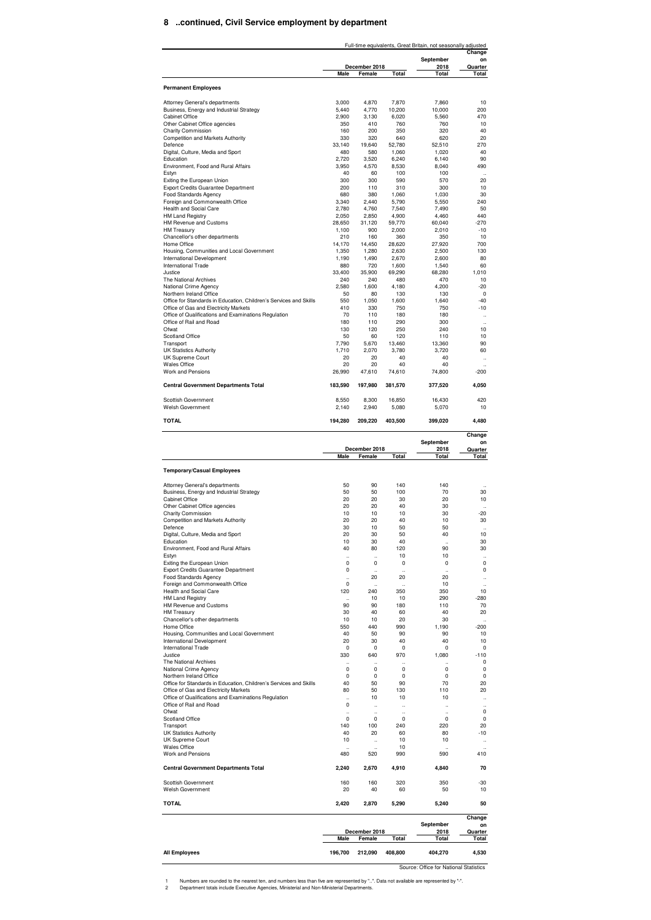#### **8 ..continued, Civil Service employment by department**

|                                                                                                                                                                                                                                                                                                                                                                                                                                                                                                                                                                                                                                                                                                                                                                                                                                                                                                                                                                                                                                                                                                                                                                                                             |                            |                                   |                                              | Full-time equivalents, Great Britain, not seasonally adjusted | Change                                                                                                                                                                                                       |
|-------------------------------------------------------------------------------------------------------------------------------------------------------------------------------------------------------------------------------------------------------------------------------------------------------------------------------------------------------------------------------------------------------------------------------------------------------------------------------------------------------------------------------------------------------------------------------------------------------------------------------------------------------------------------------------------------------------------------------------------------------------------------------------------------------------------------------------------------------------------------------------------------------------------------------------------------------------------------------------------------------------------------------------------------------------------------------------------------------------------------------------------------------------------------------------------------------------|----------------------------|-----------------------------------|----------------------------------------------|---------------------------------------------------------------|--------------------------------------------------------------------------------------------------------------------------------------------------------------------------------------------------------------|
|                                                                                                                                                                                                                                                                                                                                                                                                                                                                                                                                                                                                                                                                                                                                                                                                                                                                                                                                                                                                                                                                                                                                                                                                             |                            | December 2018                     |                                              | September<br>2018                                             | on<br>Quarter                                                                                                                                                                                                |
|                                                                                                                                                                                                                                                                                                                                                                                                                                                                                                                                                                                                                                                                                                                                                                                                                                                                                                                                                                                                                                                                                                                                                                                                             | Male                       | Female                            | Total                                        | Total                                                         | Total                                                                                                                                                                                                        |
| <b>Permanent Employees</b>                                                                                                                                                                                                                                                                                                                                                                                                                                                                                                                                                                                                                                                                                                                                                                                                                                                                                                                                                                                                                                                                                                                                                                                  |                            |                                   |                                              |                                                               |                                                                                                                                                                                                              |
| Attorney General's departments                                                                                                                                                                                                                                                                                                                                                                                                                                                                                                                                                                                                                                                                                                                                                                                                                                                                                                                                                                                                                                                                                                                                                                              | 3.000                      | 4,870                             | 7,870                                        | 7,860                                                         | 10                                                                                                                                                                                                           |
| Business, Energy and Industrial Strategy<br><b>Cabinet Office</b>                                                                                                                                                                                                                                                                                                                                                                                                                                                                                                                                                                                                                                                                                                                                                                                                                                                                                                                                                                                                                                                                                                                                           | 5,440<br>2,900             | 4,770<br>3,130                    | 10,200<br>6,020                              | 10,000<br>5,560                                               | 200<br>470                                                                                                                                                                                                   |
| Other Cabinet Office agencies                                                                                                                                                                                                                                                                                                                                                                                                                                                                                                                                                                                                                                                                                                                                                                                                                                                                                                                                                                                                                                                                                                                                                                               | 350                        | 410                               | 760                                          | 760                                                           | 10                                                                                                                                                                                                           |
| <b>Charity Commission</b><br>Competition and Markets Authority                                                                                                                                                                                                                                                                                                                                                                                                                                                                                                                                                                                                                                                                                                                                                                                                                                                                                                                                                                                                                                                                                                                                              | 160<br>330                 | 200<br>320                        | 350<br>640                                   | 320<br>620                                                    | 40<br>20                                                                                                                                                                                                     |
| Defence                                                                                                                                                                                                                                                                                                                                                                                                                                                                                                                                                                                                                                                                                                                                                                                                                                                                                                                                                                                                                                                                                                                                                                                                     | 33,140                     | 19,640                            | 52,780                                       | 52,510                                                        | 270                                                                                                                                                                                                          |
| Digital, Culture, Media and Sport<br>Education                                                                                                                                                                                                                                                                                                                                                                                                                                                                                                                                                                                                                                                                                                                                                                                                                                                                                                                                                                                                                                                                                                                                                              | 480<br>2,720               | 580<br>3,520                      | 1,060<br>6,240                               | 1,020<br>6,140                                                | 40<br>90                                                                                                                                                                                                     |
| Environment, Food and Rural Affairs                                                                                                                                                                                                                                                                                                                                                                                                                                                                                                                                                                                                                                                                                                                                                                                                                                                                                                                                                                                                                                                                                                                                                                         | 3,950                      | 4,570                             | 8,530                                        | 8,040                                                         | 490                                                                                                                                                                                                          |
| Estyn<br>Exiting the European Union                                                                                                                                                                                                                                                                                                                                                                                                                                                                                                                                                                                                                                                                                                                                                                                                                                                                                                                                                                                                                                                                                                                                                                         | 40<br>300                  | 60<br>300                         | 100<br>590                                   | 100<br>570                                                    | $\ddot{\phantom{a}}$<br>20                                                                                                                                                                                   |
| Export Credits Guarantee Department                                                                                                                                                                                                                                                                                                                                                                                                                                                                                                                                                                                                                                                                                                                                                                                                                                                                                                                                                                                                                                                                                                                                                                         | 200                        | 110                               | 310                                          | 300                                                           | 10                                                                                                                                                                                                           |
| Food Standards Agency<br>Foreign and Commonwealth Office                                                                                                                                                                                                                                                                                                                                                                                                                                                                                                                                                                                                                                                                                                                                                                                                                                                                                                                                                                                                                                                                                                                                                    | 680<br>3,340               | 380<br>2,440                      | 1,060<br>5,790                               | 1.030<br>5,550                                                | 30<br>240                                                                                                                                                                                                    |
| Health and Social Care                                                                                                                                                                                                                                                                                                                                                                                                                                                                                                                                                                                                                                                                                                                                                                                                                                                                                                                                                                                                                                                                                                                                                                                      | 2,780                      | 4,760                             | 7,540                                        | 7,490                                                         | 50                                                                                                                                                                                                           |
| <b>HM Land Registry</b><br>HM Revenue and Customs                                                                                                                                                                                                                                                                                                                                                                                                                                                                                                                                                                                                                                                                                                                                                                                                                                                                                                                                                                                                                                                                                                                                                           | 2,050<br>28,650            | 2,850<br>31,120                   | 4,900<br>59,770                              | 4,460<br>60,040                                               | 440<br>-270                                                                                                                                                                                                  |
| <b>HM Treasury</b>                                                                                                                                                                                                                                                                                                                                                                                                                                                                                                                                                                                                                                                                                                                                                                                                                                                                                                                                                                                                                                                                                                                                                                                          | 1,100                      | 900                               | 2,000                                        | 2,010                                                         | $-10$                                                                                                                                                                                                        |
| Chancellor's other departments<br>Home Office                                                                                                                                                                                                                                                                                                                                                                                                                                                                                                                                                                                                                                                                                                                                                                                                                                                                                                                                                                                                                                                                                                                                                               | 210<br>14,170              | 160<br>14,450                     | 360<br>28,620                                | 350<br>27,920                                                 | 10<br>700                                                                                                                                                                                                    |
| Housing, Communities and Local Government                                                                                                                                                                                                                                                                                                                                                                                                                                                                                                                                                                                                                                                                                                                                                                                                                                                                                                                                                                                                                                                                                                                                                                   | 1,350                      | 1,280                             | 2,630                                        | 2,500                                                         | 130                                                                                                                                                                                                          |
| International Development<br><b>International Trade</b>                                                                                                                                                                                                                                                                                                                                                                                                                                                                                                                                                                                                                                                                                                                                                                                                                                                                                                                                                                                                                                                                                                                                                     | 1,190<br>880               | 1,490<br>720                      | 2,670<br>1.600                               | 2,600<br>1,540                                                | 80                                                                                                                                                                                                           |
| Justice.                                                                                                                                                                                                                                                                                                                                                                                                                                                                                                                                                                                                                                                                                                                                                                                                                                                                                                                                                                                                                                                                                                                                                                                                    | 33,400                     | 35,900                            | 69,290                                       | 68,280                                                        | 60<br>1,010                                                                                                                                                                                                  |
| The National Archives                                                                                                                                                                                                                                                                                                                                                                                                                                                                                                                                                                                                                                                                                                                                                                                                                                                                                                                                                                                                                                                                                                                                                                                       | 240                        | 240<br>1.600                      | 480                                          | 470                                                           | 10                                                                                                                                                                                                           |
| National Crime Agency<br>Northern Ireland Office                                                                                                                                                                                                                                                                                                                                                                                                                                                                                                                                                                                                                                                                                                                                                                                                                                                                                                                                                                                                                                                                                                                                                            | 2,580<br>50                | 80                                | 4,180<br>130                                 | 4,200<br>130                                                  | $-20$<br>0                                                                                                                                                                                                   |
| Office for Standards in Education, Children's Services and Skills                                                                                                                                                                                                                                                                                                                                                                                                                                                                                                                                                                                                                                                                                                                                                                                                                                                                                                                                                                                                                                                                                                                                           | 550                        | 1,050                             | 1,600                                        | 1,640                                                         | $-40$                                                                                                                                                                                                        |
| Office of Gas and Electricity Markets<br>Office of Qualifications and Examinations Regulation                                                                                                                                                                                                                                                                                                                                                                                                                                                                                                                                                                                                                                                                                                                                                                                                                                                                                                                                                                                                                                                                                                               | 410<br>70                  | 330<br>110                        | 750<br>180                                   | 750<br>180                                                    | $-10$<br>$\ddot{\phantom{a}}$                                                                                                                                                                                |
| Office of Rail and Road                                                                                                                                                                                                                                                                                                                                                                                                                                                                                                                                                                                                                                                                                                                                                                                                                                                                                                                                                                                                                                                                                                                                                                                     | 180                        | 110                               | 290                                          | 300                                                           | $\ddot{\phantom{a}}$                                                                                                                                                                                         |
| Ofwat<br>Scotland Office                                                                                                                                                                                                                                                                                                                                                                                                                                                                                                                                                                                                                                                                                                                                                                                                                                                                                                                                                                                                                                                                                                                                                                                    | 130<br>50                  | 120<br>60                         | 250<br>120                                   | 240<br>110                                                    | 10<br>10                                                                                                                                                                                                     |
| Transport                                                                                                                                                                                                                                                                                                                                                                                                                                                                                                                                                                                                                                                                                                                                                                                                                                                                                                                                                                                                                                                                                                                                                                                                   | 7,790                      | 5,670                             | 13,460                                       | 13,360                                                        | 90                                                                                                                                                                                                           |
| <b>UK Statistics Authority</b><br>UK Supreme Court                                                                                                                                                                                                                                                                                                                                                                                                                                                                                                                                                                                                                                                                                                                                                                                                                                                                                                                                                                                                                                                                                                                                                          | 1,710<br>20                | 2,070<br>20                       | 3,780<br>40                                  | 3,720<br>40                                                   | 60<br>$\ddot{\phantom{a}}$                                                                                                                                                                                   |
| <b>Wales Office</b>                                                                                                                                                                                                                                                                                                                                                                                                                                                                                                                                                                                                                                                                                                                                                                                                                                                                                                                                                                                                                                                                                                                                                                                         | 20                         | 20                                | 40                                           | 40                                                            |                                                                                                                                                                                                              |
| Work and Pensions                                                                                                                                                                                                                                                                                                                                                                                                                                                                                                                                                                                                                                                                                                                                                                                                                                                                                                                                                                                                                                                                                                                                                                                           | 26,990                     | 47,610                            | 74,610                                       | 74,800                                                        | $-200$                                                                                                                                                                                                       |
| <b>Central Government Departments Total</b>                                                                                                                                                                                                                                                                                                                                                                                                                                                                                                                                                                                                                                                                                                                                                                                                                                                                                                                                                                                                                                                                                                                                                                 | 183,590                    | 197,980                           | 381,570                                      | 377,520                                                       | 4,050                                                                                                                                                                                                        |
| Scottish Government<br>Welsh Government                                                                                                                                                                                                                                                                                                                                                                                                                                                                                                                                                                                                                                                                                                                                                                                                                                                                                                                                                                                                                                                                                                                                                                     | 8,550<br>2,140             | 8,300<br>2,940                    | 16,850<br>5,080                              | 16,430<br>5,070                                               | 420<br>10                                                                                                                                                                                                    |
| <b>TOTAL</b>                                                                                                                                                                                                                                                                                                                                                                                                                                                                                                                                                                                                                                                                                                                                                                                                                                                                                                                                                                                                                                                                                                                                                                                                | 194,280                    | 209,220                           | 403,500                                      | 399,020                                                       | 4,480                                                                                                                                                                                                        |
|                                                                                                                                                                                                                                                                                                                                                                                                                                                                                                                                                                                                                                                                                                                                                                                                                                                                                                                                                                                                                                                                                                                                                                                                             |                            |                                   |                                              |                                                               | Change                                                                                                                                                                                                       |
|                                                                                                                                                                                                                                                                                                                                                                                                                                                                                                                                                                                                                                                                                                                                                                                                                                                                                                                                                                                                                                                                                                                                                                                                             |                            | December 2018                     |                                              | September<br>2018                                             | on                                                                                                                                                                                                           |
|                                                                                                                                                                                                                                                                                                                                                                                                                                                                                                                                                                                                                                                                                                                                                                                                                                                                                                                                                                                                                                                                                                                                                                                                             | Male                       | Female                            | Total                                        | Total                                                         | <b>Quarter</b><br>Total                                                                                                                                                                                      |
| <b>Temporary/Casual Employees</b>                                                                                                                                                                                                                                                                                                                                                                                                                                                                                                                                                                                                                                                                                                                                                                                                                                                                                                                                                                                                                                                                                                                                                                           |                            |                                   |                                              |                                                               |                                                                                                                                                                                                              |
| Attorney General's departments                                                                                                                                                                                                                                                                                                                                                                                                                                                                                                                                                                                                                                                                                                                                                                                                                                                                                                                                                                                                                                                                                                                                                                              | 50                         | 90                                | 140                                          | 140                                                           |                                                                                                                                                                                                              |
| Business, Energy and Industrial Strategy                                                                                                                                                                                                                                                                                                                                                                                                                                                                                                                                                                                                                                                                                                                                                                                                                                                                                                                                                                                                                                                                                                                                                                    |                            |                                   |                                              |                                                               |                                                                                                                                                                                                              |
|                                                                                                                                                                                                                                                                                                                                                                                                                                                                                                                                                                                                                                                                                                                                                                                                                                                                                                                                                                                                                                                                                                                                                                                                             | 50                         | 50                                | 100                                          | 70                                                            |                                                                                                                                                                                                              |
|                                                                                                                                                                                                                                                                                                                                                                                                                                                                                                                                                                                                                                                                                                                                                                                                                                                                                                                                                                                                                                                                                                                                                                                                             | 20                         | 20                                | 30                                           | 20                                                            |                                                                                                                                                                                                              |
|                                                                                                                                                                                                                                                                                                                                                                                                                                                                                                                                                                                                                                                                                                                                                                                                                                                                                                                                                                                                                                                                                                                                                                                                             | 20<br>10                   | 20<br>10                          | 40<br>10                                     | 30<br>30                                                      |                                                                                                                                                                                                              |
|                                                                                                                                                                                                                                                                                                                                                                                                                                                                                                                                                                                                                                                                                                                                                                                                                                                                                                                                                                                                                                                                                                                                                                                                             | 20                         | 20                                | 40                                           | 10                                                            |                                                                                                                                                                                                              |
|                                                                                                                                                                                                                                                                                                                                                                                                                                                                                                                                                                                                                                                                                                                                                                                                                                                                                                                                                                                                                                                                                                                                                                                                             | 30<br>20                   | 10<br>30                          | 50<br>50                                     | 50<br>40                                                      |                                                                                                                                                                                                              |
|                                                                                                                                                                                                                                                                                                                                                                                                                                                                                                                                                                                                                                                                                                                                                                                                                                                                                                                                                                                                                                                                                                                                                                                                             | 10                         | 30                                | 40                                           |                                                               |                                                                                                                                                                                                              |
|                                                                                                                                                                                                                                                                                                                                                                                                                                                                                                                                                                                                                                                                                                                                                                                                                                                                                                                                                                                                                                                                                                                                                                                                             | 40<br>$\ddot{\phantom{a}}$ | 80<br>$\ddot{\phantom{a}}$        | 120<br>10                                    | 90<br>10                                                      | $\ldots$<br>30<br>10<br>$-20$<br>30<br>10<br>30<br>30<br>$\ddotsc$                                                                                                                                           |
|                                                                                                                                                                                                                                                                                                                                                                                                                                                                                                                                                                                                                                                                                                                                                                                                                                                                                                                                                                                                                                                                                                                                                                                                             | 0                          | 0                                 | 0                                            | 0                                                             | 0                                                                                                                                                                                                            |
|                                                                                                                                                                                                                                                                                                                                                                                                                                                                                                                                                                                                                                                                                                                                                                                                                                                                                                                                                                                                                                                                                                                                                                                                             | 0<br>$\ddot{\phantom{a}}$  | $\ddotsc$<br>20                   | $\ddot{\phantom{a}}$<br>20                   | $\ddot{\phantom{a}}$<br>20                                    |                                                                                                                                                                                                              |
|                                                                                                                                                                                                                                                                                                                                                                                                                                                                                                                                                                                                                                                                                                                                                                                                                                                                                                                                                                                                                                                                                                                                                                                                             | $\mathbf 0$                | J.                                |                                              | 10                                                            |                                                                                                                                                                                                              |
|                                                                                                                                                                                                                                                                                                                                                                                                                                                                                                                                                                                                                                                                                                                                                                                                                                                                                                                                                                                                                                                                                                                                                                                                             | 120                        | 240<br>10                         | 350<br>10                                    | 350<br>290                                                    |                                                                                                                                                                                                              |
|                                                                                                                                                                                                                                                                                                                                                                                                                                                                                                                                                                                                                                                                                                                                                                                                                                                                                                                                                                                                                                                                                                                                                                                                             | 90                         | 90                                | 180                                          | 110                                                           |                                                                                                                                                                                                              |
|                                                                                                                                                                                                                                                                                                                                                                                                                                                                                                                                                                                                                                                                                                                                                                                                                                                                                                                                                                                                                                                                                                                                                                                                             | 30                         | 40                                | 60                                           | 40                                                            |                                                                                                                                                                                                              |
|                                                                                                                                                                                                                                                                                                                                                                                                                                                                                                                                                                                                                                                                                                                                                                                                                                                                                                                                                                                                                                                                                                                                                                                                             | 10<br>550                  | 10<br>440                         | 20<br>990                                    | 30<br>1,190                                                   |                                                                                                                                                                                                              |
|                                                                                                                                                                                                                                                                                                                                                                                                                                                                                                                                                                                                                                                                                                                                                                                                                                                                                                                                                                                                                                                                                                                                                                                                             | 40                         | 50                                | 90                                           | 90                                                            |                                                                                                                                                                                                              |
|                                                                                                                                                                                                                                                                                                                                                                                                                                                                                                                                                                                                                                                                                                                                                                                                                                                                                                                                                                                                                                                                                                                                                                                                             | 20<br>$\Omega$             | 30<br>0                           | 40<br>$\Omega$                               | 40<br>$\Omega$                                                |                                                                                                                                                                                                              |
|                                                                                                                                                                                                                                                                                                                                                                                                                                                                                                                                                                                                                                                                                                                                                                                                                                                                                                                                                                                                                                                                                                                                                                                                             | 330                        | 640                               | 970                                          | 1,080                                                         |                                                                                                                                                                                                              |
|                                                                                                                                                                                                                                                                                                                                                                                                                                                                                                                                                                                                                                                                                                                                                                                                                                                                                                                                                                                                                                                                                                                                                                                                             | $\ddotsc$<br>$\mathbf 0$   | $\ddotsc$<br>$\Omega$             | $\ddotsc$<br>$\Omega$                        | $\ddotsc$<br>$\Omega$                                         |                                                                                                                                                                                                              |
|                                                                                                                                                                                                                                                                                                                                                                                                                                                                                                                                                                                                                                                                                                                                                                                                                                                                                                                                                                                                                                                                                                                                                                                                             | 0                          | 0                                 | 0                                            | 0                                                             |                                                                                                                                                                                                              |
|                                                                                                                                                                                                                                                                                                                                                                                                                                                                                                                                                                                                                                                                                                                                                                                                                                                                                                                                                                                                                                                                                                                                                                                                             | 40<br>80                   | 50<br>50                          | 90<br>130                                    | 70<br>110                                                     |                                                                                                                                                                                                              |
|                                                                                                                                                                                                                                                                                                                                                                                                                                                                                                                                                                                                                                                                                                                                                                                                                                                                                                                                                                                                                                                                                                                                                                                                             |                            | 10                                | 10                                           | 10                                                            |                                                                                                                                                                                                              |
|                                                                                                                                                                                                                                                                                                                                                                                                                                                                                                                                                                                                                                                                                                                                                                                                                                                                                                                                                                                                                                                                                                                                                                                                             | 0<br>$\ddot{\phantom{a}}$  | $\ddotsc$<br>$\ddot{\phantom{a}}$ | $\ddot{\phantom{0}}$<br>$\ddot{\phantom{0}}$ | $\ddot{\phantom{0}}$<br>$\ddot{\phantom{0}}$                  |                                                                                                                                                                                                              |
|                                                                                                                                                                                                                                                                                                                                                                                                                                                                                                                                                                                                                                                                                                                                                                                                                                                                                                                                                                                                                                                                                                                                                                                                             | $\pmb{0}$                  | 0                                 | 0                                            | 0                                                             |                                                                                                                                                                                                              |
|                                                                                                                                                                                                                                                                                                                                                                                                                                                                                                                                                                                                                                                                                                                                                                                                                                                                                                                                                                                                                                                                                                                                                                                                             | 140<br>40                  | 100<br>20                         | 240<br>60                                    | 220<br>80                                                     |                                                                                                                                                                                                              |
|                                                                                                                                                                                                                                                                                                                                                                                                                                                                                                                                                                                                                                                                                                                                                                                                                                                                                                                                                                                                                                                                                                                                                                                                             | 10                         | $\ddot{\phantom{a}}$              | 10                                           | 10                                                            |                                                                                                                                                                                                              |
|                                                                                                                                                                                                                                                                                                                                                                                                                                                                                                                                                                                                                                                                                                                                                                                                                                                                                                                                                                                                                                                                                                                                                                                                             | ٠.<br>480                  | $\ddot{\phantom{a}}$<br>520       | 10<br>990                                    | $\ddot{\phantom{a}}$<br>590                                   |                                                                                                                                                                                                              |
|                                                                                                                                                                                                                                                                                                                                                                                                                                                                                                                                                                                                                                                                                                                                                                                                                                                                                                                                                                                                                                                                                                                                                                                                             | 2,240                      | 2,670                             | 4,910                                        | 4,840                                                         |                                                                                                                                                                                                              |
|                                                                                                                                                                                                                                                                                                                                                                                                                                                                                                                                                                                                                                                                                                                                                                                                                                                                                                                                                                                                                                                                                                                                                                                                             | 160                        | 160                               | 320                                          | 350                                                           |                                                                                                                                                                                                              |
|                                                                                                                                                                                                                                                                                                                                                                                                                                                                                                                                                                                                                                                                                                                                                                                                                                                                                                                                                                                                                                                                                                                                                                                                             | 20                         | 40                                | 60                                           | 50                                                            | 0<br>$\ddotsc$<br>10<br>$-280$<br>70<br>20<br>$\ddot{\phantom{a}}$<br>$-200$<br>10<br>10<br>0<br>$-110$<br>0<br>0<br>0<br>20<br>20<br><br>$\ddotsc$<br>0<br>0<br>20<br>$-10$<br><br>410<br>70<br>$-30$<br>10 |
|                                                                                                                                                                                                                                                                                                                                                                                                                                                                                                                                                                                                                                                                                                                                                                                                                                                                                                                                                                                                                                                                                                                                                                                                             | 2,420                      | 2,870                             | 5,290                                        | 5,240                                                         | 50                                                                                                                                                                                                           |
|                                                                                                                                                                                                                                                                                                                                                                                                                                                                                                                                                                                                                                                                                                                                                                                                                                                                                                                                                                                                                                                                                                                                                                                                             |                            |                                   |                                              | September                                                     | Change<br>on                                                                                                                                                                                                 |
|                                                                                                                                                                                                                                                                                                                                                                                                                                                                                                                                                                                                                                                                                                                                                                                                                                                                                                                                                                                                                                                                                                                                                                                                             | Male                       | December 2018<br>Female           | Total                                        | 2018<br>Total                                                 | Quarter<br>Total                                                                                                                                                                                             |
| Cabinet Office<br>Other Cabinet Office agencies<br><b>Charity Commission</b><br><b>Competition and Markets Authority</b><br>Deletice<br>Digital, Culture, Media and Sport<br>Education<br>Environment, Food and Rural Affairs<br>Estvn<br>Exiting the European Union<br><b>Export Credits Guarantee Department</b><br>Food Standards Agency<br>Foreign and Commonwealth Office<br>Health and Social Care<br><b>HM Land Registry</b><br>HM Revenue and Customs<br><b>HM Treasury</b><br>Chancellor's other departments<br>Home Office<br>Housing, Communities and Local Government<br>International Development<br>International Trade<br>Justice<br>The National Archives<br>National Crime Agency<br>Northern Ireland Office<br>Office for Standards in Education, Children's Services and Skills<br>Office of Gas and Electricity Markets<br>Office of Qualifications and Examinations Regulation<br>Office of Rail and Road<br>Ofwat<br>Scotland Office<br>Transport<br><b>UK Statistics Authority</b><br>UK Supreme Court<br><b>Wales Office</b><br>Work and Pensions<br><b>Central Government Departments Total</b><br>Scottish Government<br>Welsh Government<br><b>TOTAL</b><br><b>All Employees</b> | 196,700                    | 212,090                           | 408,800                                      | 404,270                                                       | 4,530                                                                                                                                                                                                        |

Source: Office for National Statistics

1 2 Numbers are rounded to the nearest ten, and numbers less than five are represented by "..". Data not available are represented by "-"<br>Department totals include Executive Agencies, Ministerial and Non-Ministerial Department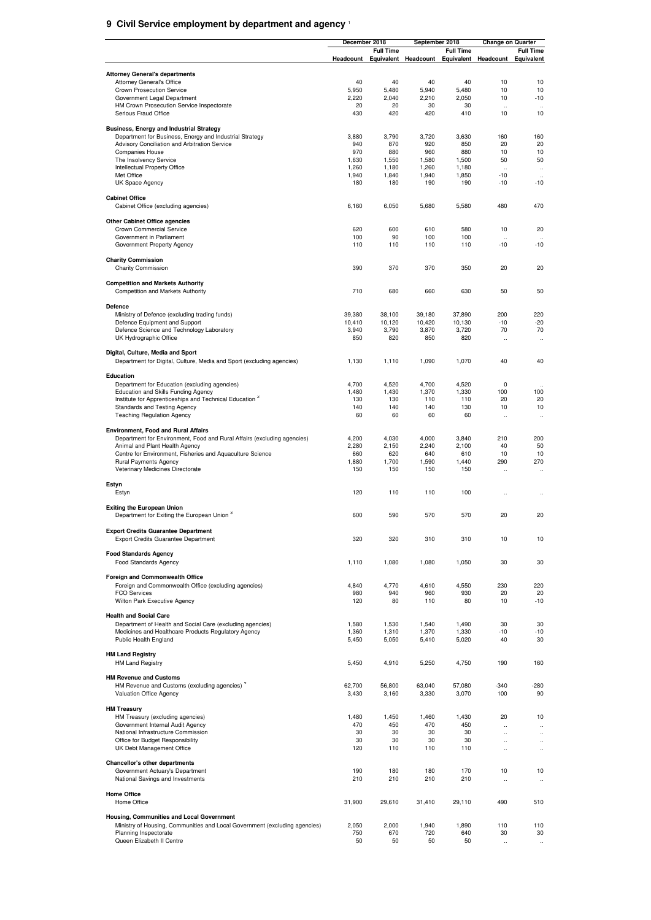#### **9 Civil Service employment by department and agency** <sup>1</sup>

|                                                                                                            | December 2018  |                                          | September 2018 |                                          |                                   | <b>Change on Quarter</b>                     |
|------------------------------------------------------------------------------------------------------------|----------------|------------------------------------------|----------------|------------------------------------------|-----------------------------------|----------------------------------------------|
|                                                                                                            |                | <b>Full Time</b><br>Headcount Equivalent |                | <b>Full Time</b><br>Headcount Equivalent | <b>Headcount Equivalent</b>       | <b>Full Time</b>                             |
|                                                                                                            |                |                                          |                |                                          |                                   |                                              |
| <b>Attorney General's departments</b>                                                                      |                |                                          |                |                                          |                                   |                                              |
| <b>Attorney General's Office</b>                                                                           | 40             | 40                                       | 40             | 40                                       | 10                                | 10                                           |
| Crown Prosecution Service<br>Government Legal Department                                                   | 5,950<br>2,220 | 5,480<br>2,040                           | 5,940<br>2,210 | 5,480<br>2,050                           | 10<br>10                          | 10<br>$-10$                                  |
| HM Crown Prosecution Service Inspectorate                                                                  | 20             | 20                                       | 30             | 30                                       | $\ddot{\phantom{a}}$              | $\ddot{\phantom{a}}$                         |
| Serious Fraud Office                                                                                       | 430            | 420                                      | 420            | 410                                      | 10                                | 10                                           |
|                                                                                                            |                |                                          |                |                                          |                                   |                                              |
| <b>Business, Energy and Industrial Strategy</b><br>Department for Business, Energy and Industrial Strategy | 3,880          | 3,790                                    | 3,720          | 3,630                                    | 160                               | 160                                          |
| Advisory Conciliation and Arbitration Service                                                              | 940            | 870                                      | 920            | 850                                      | 20                                | 20                                           |
| <b>Companies House</b>                                                                                     | 970            | 880                                      | 960            | 880                                      | 10                                | 10                                           |
| The Insolvency Service                                                                                     | 1,630          | 1,550                                    | 1,580          | 1,500                                    | 50                                | 50                                           |
| Intellectual Property Office<br>Met Office                                                                 | 1,260<br>1,940 | 1,180<br>1,840                           | 1,260<br>1,940 | 1,180<br>1,850                           | $\ddot{\phantom{a}}$<br>$-10$     | $\ddotsc$                                    |
| UK Space Agency                                                                                            | 180            | 180                                      | 190            | 190                                      | $-10$                             | $\ddot{\phantom{0}}$<br>$-10$                |
|                                                                                                            |                |                                          |                |                                          |                                   |                                              |
| <b>Cabinet Office</b>                                                                                      |                |                                          |                |                                          |                                   |                                              |
| Cabinet Office (excluding agencies)                                                                        | 6,160          | 6,050                                    | 5,680          | 5,580                                    | 480                               | 470                                          |
| <b>Other Cabinet Office agencies</b>                                                                       |                |                                          |                |                                          |                                   |                                              |
| Crown Commercial Service                                                                                   | 620            | 600                                      | 610            | 580                                      | 10                                | 20                                           |
| Government in Parliament                                                                                   | 100            | 90                                       | 100            | 100                                      | $\ddot{\phantom{0}}$              |                                              |
| Government Property Agency                                                                                 | 110            | 110                                      | 110            | 110                                      | $-10$                             | $-10$                                        |
| <b>Charity Commission</b>                                                                                  |                |                                          |                |                                          |                                   |                                              |
| <b>Charity Commission</b>                                                                                  | 390            | 370                                      | 370            | 350                                      | 20                                | 20                                           |
|                                                                                                            |                |                                          |                |                                          |                                   |                                              |
| <b>Competition and Markets Authority</b>                                                                   |                |                                          |                |                                          |                                   |                                              |
| <b>Competition and Markets Authority</b>                                                                   | 710            | 680                                      | 660            | 630                                      | 50                                | 50                                           |
| Defence                                                                                                    |                |                                          |                |                                          |                                   |                                              |
| Ministry of Defence (excluding trading funds)                                                              | 39,380         | 38,100                                   | 39,180         | 37,890                                   | 200                               | 220                                          |
| Defence Equipment and Support                                                                              | 10,410         | 10,120                                   | 10,420         | 10,130                                   | $-10$                             | $-20$                                        |
| Defence Science and Technology Laboratory                                                                  | 3,940          | 3,790                                    | 3,870          | 3,720                                    | 70                                | 70                                           |
| UK Hydrographic Office                                                                                     | 850            | 820                                      | 850            | 820                                      | $\ddot{\phantom{a}}$              | $\ddot{\phantom{a}}$                         |
| Digital, Culture, Media and Sport                                                                          |                |                                          |                |                                          |                                   |                                              |
| Department for Digital, Culture, Media and Sport (excluding agencies)                                      | 1,130          | 1,110                                    | 1,090          | 1,070                                    | 40                                | 40                                           |
|                                                                                                            |                |                                          |                |                                          |                                   |                                              |
| Education                                                                                                  |                |                                          |                |                                          |                                   |                                              |
| Department for Education (excluding agencies)<br>Education and Skills Funding Agency                       | 4,700<br>1,480 | 4,520<br>1,430                           | 4,700<br>1,370 | 4,520<br>1,330                           | $^{\circ}$<br>100                 | $\ddot{\phantom{a}}$<br>100                  |
| Institute for Apprenticeships and Technical Education <sup>2</sup>                                         | 130            | 130                                      | 110            | 110                                      | 20                                | 20                                           |
| Standards and Testing Agency                                                                               | 140            | 140                                      | 140            | 130                                      | 10                                | 10                                           |
| <b>Teaching Regulation Agency</b>                                                                          | 60             | 60                                       | 60             | 60                                       | $\ddotsc$                         | $\ddot{\phantom{a}}$                         |
| <b>Environment, Food and Rural Affairs</b>                                                                 |                |                                          |                |                                          |                                   |                                              |
| Department for Environment, Food and Rural Affairs (excluding agencies)                                    | 4,200          | 4,030                                    | 4,000          | 3,840                                    | 210                               | 200                                          |
| Animal and Plant Health Agency                                                                             | 2,280          | 2,150                                    | 2,240          | 2,100                                    | 40                                | 50                                           |
| Centre for Environment, Fisheries and Aquaculture Science                                                  | 660            | 620                                      | 640            | 610                                      | 10                                | 10                                           |
| Rural Payments Agency                                                                                      | 1,880          | 1,700                                    | 1,590          | 1,440                                    | 290                               | 270                                          |
| Veterinary Medicines Directorate                                                                           | 150            | 150                                      | 150            | 150                                      | $\ddot{\phantom{a}}$              | $\ddot{\phantom{a}}$                         |
| Estyn                                                                                                      |                |                                          |                |                                          |                                   |                                              |
| Estyn                                                                                                      | 120            | 110                                      | 110            | 100                                      | $\ddot{\phantom{a}}$              |                                              |
|                                                                                                            |                |                                          |                |                                          |                                   |                                              |
| <b>Exiting the European Union</b><br>Department for Exiting the European Union 3                           | 600            | 590                                      | 570            | 570                                      | 20                                | 20                                           |
|                                                                                                            |                |                                          |                |                                          |                                   |                                              |
| <b>Export Credits Guarantee Department</b>                                                                 |                |                                          |                |                                          |                                   |                                              |
| Export Credits Guarantee Department                                                                        | 320            | 320                                      | 310            | 310                                      | 10                                | 10                                           |
| <b>Food Standards Agency</b>                                                                               |                |                                          |                |                                          |                                   |                                              |
| Food Standards Agency                                                                                      | 1,110          | 1,080                                    | 1,080          | 1,050                                    | 30                                | 30                                           |
|                                                                                                            |                |                                          |                |                                          |                                   |                                              |
| Foreign and Commonwealth Office                                                                            |                |                                          |                |                                          |                                   |                                              |
| Foreign and Commonwealth Office (excluding agencies)                                                       | 4,840          | 4,770                                    | 4,610          | 4,550                                    | 230                               | 220                                          |
| <b>FCO Services</b><br>Wilton Park Executive Agency                                                        | 980<br>120     | 940<br>80                                | 960<br>110     | 930<br>80                                | 20<br>10                          | 20<br>$-10$                                  |
|                                                                                                            |                |                                          |                |                                          |                                   |                                              |
| <b>Health and Social Care</b>                                                                              |                |                                          |                |                                          |                                   |                                              |
| Department of Health and Social Care (excluding agencies)                                                  | 1,580          | 1,530                                    | 1,540          | 1,490                                    | 30                                | 30                                           |
| Medicines and Healthcare Products Regulatory Agency<br>Public Health England                               | 1,360<br>5,450 | 1,310<br>5,050                           | 1,370<br>5,410 | 1,330<br>5,020                           | $-10$<br>40                       | $-10$<br>30                                  |
|                                                                                                            |                |                                          |                |                                          |                                   |                                              |
| <b>HM Land Registry</b>                                                                                    |                |                                          |                |                                          |                                   |                                              |
| <b>HM Land Registry</b>                                                                                    | 5,450          | 4,910                                    | 5,250          | 4,750                                    | 190                               | 160                                          |
|                                                                                                            |                |                                          |                |                                          |                                   |                                              |
| <b>HM Revenue and Customs</b><br>HM Revenue and Customs (excluding agencies) <sup>4</sup>                  | 62,700         | 56,800                                   | 63,040         | 57,080                                   | $-340$                            | $-280$                                       |
| Valuation Office Agency                                                                                    | 3,430          | 3,160                                    | 3,330          | 3,070                                    | 100                               | 90                                           |
|                                                                                                            |                |                                          |                |                                          |                                   |                                              |
| <b>HM Treasury</b>                                                                                         |                |                                          |                |                                          |                                   |                                              |
| HM Treasury (excluding agencies)                                                                           | 1,480          | 1,450                                    | 1,460          | 1,430                                    | 20                                | 10                                           |
| Government Internal Audit Agency<br>National Infrastructure Commission                                     | 470<br>30      | 450<br>30                                | 470<br>30      | 450<br>30                                | $\ddot{\phantom{a}}$<br>$\ddotsc$ | $\ddot{\phantom{0}}$<br>$\ddot{\phantom{a}}$ |
| Office for Budget Responsibility                                                                           | 30             | 30                                       | 30             | 30                                       | $\ddot{\phantom{a}}$              | $\ddot{\phantom{0}}$                         |
| UK Debt Management Office                                                                                  | 120            | 110                                      | 110            | 110                                      | $\ddot{\phantom{a}}$              | $\ddot{\phantom{a}}$                         |
|                                                                                                            |                |                                          |                |                                          |                                   |                                              |
| Chancellor's other departments                                                                             | 190            | 180                                      | 180            | 170                                      | 10                                | 10                                           |
| Government Actuary's Department<br>National Savings and Investments                                        | 210            | 210                                      | 210            | 210                                      | $\ddot{\phantom{a}}$              | $\ddot{\phantom{0}}$                         |
|                                                                                                            |                |                                          |                |                                          |                                   |                                              |
| <b>Home Office</b>                                                                                         |                |                                          |                |                                          |                                   |                                              |
| Home Office                                                                                                | 31,900         | 29,610                                   | 31,410         | 29,110                                   | 490                               | 510                                          |
| Housing, Communities and Local Government                                                                  |                |                                          |                |                                          |                                   |                                              |
| Ministry of Housing, Communities and Local Government (excluding agencies)                                 | 2,050          | 2,000                                    | 1,940          | 1,890                                    | 110                               | 110                                          |
| Planning Inspectorate                                                                                      | 750            | 670                                      | 720            | 640                                      | 30                                | 30                                           |
| Queen Elizabeth II Centre                                                                                  | 50             | 50                                       | 50             | 50                                       |                                   | $\mathcal{L}_{\mathcal{A}}$                  |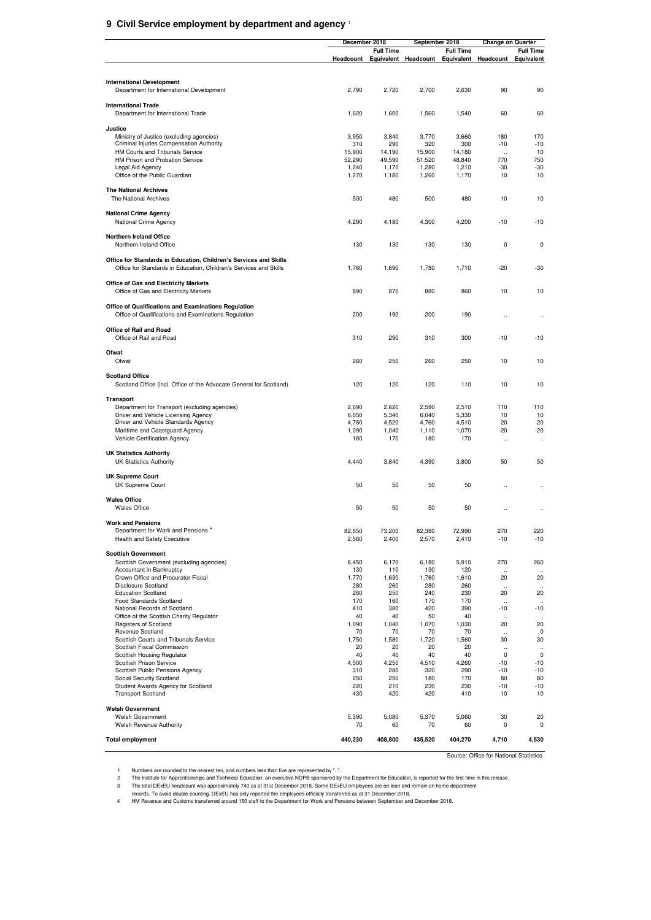#### **9 Civil Service employment by department and agency** <sup>1</sup>

|                                                                                      | December 2018  |                  | September 2018 |                  | <b>Change on Quarter</b>   |                            |
|--------------------------------------------------------------------------------------|----------------|------------------|----------------|------------------|----------------------------|----------------------------|
|                                                                                      |                | <b>Full Time</b> |                | <b>Full Time</b> |                            | <b>Full Time</b>           |
|                                                                                      | Headcount      | Equivalent       | Headcount      | Equivalent       | Headcount                  | Equivalent                 |
|                                                                                      |                |                  |                |                  |                            |                            |
| <b>International Development</b>                                                     |                |                  |                |                  |                            |                            |
| Department for International Development                                             | 2,790          | 2,720            | 2,700          | 2,630            | 90                         | 90                         |
| <b>International Trade</b>                                                           |                |                  |                |                  |                            |                            |
| Department for International Trade                                                   | 1,620          | 1,600            | 1,560          | 1,540            | 60                         | 60                         |
|                                                                                      |                |                  |                |                  |                            |                            |
| Justice                                                                              | 3,950          | 3,840            | 3,770          | 3,660            | 180                        | 170                        |
| Ministry of Justice (excluding agencies)<br>Criminal Injuries Compensation Authority | 310            | 290              | 320            | 300              | $-10$                      | $-10$                      |
| HM Courts and Tribunals Service                                                      | 15,900         | 14,190           | 15,900         | 14,180           | $\ddot{\phantom{a}}$       | 10                         |
| HM Prison and Probation Service                                                      | 52,290         | 49,590           | 51,520         | 48,840           | 770                        | 750                        |
| Legal Aid Agency<br>Office of the Public Guardian                                    | 1,240<br>1,270 | 1,170<br>1,180   | 1,280<br>1,260 | 1,210<br>1,170   | -30<br>10                  | $-30$<br>10                |
|                                                                                      |                |                  |                |                  |                            |                            |
| <b>The National Archives</b>                                                         |                |                  |                |                  |                            |                            |
| The National Archives                                                                | 500            | 480              | 500            | 480              | 10                         | 10                         |
| <b>National Crime Agency</b>                                                         |                |                  |                |                  |                            |                            |
| National Crime Agency                                                                | 4,290          | 4,180            | 4,300          | 4,200            | $-10$                      | $-10$                      |
|                                                                                      |                |                  |                |                  |                            |                            |
| <b>Northern Ireland Office</b><br>Northern Ireland Office                            |                | 130              | 130            | 130              | 0                          | 0                          |
|                                                                                      | 130            |                  |                |                  |                            |                            |
| Office for Standards in Education, Children's Services and Skills                    |                |                  |                |                  |                            |                            |
| Office for Standards in Education, Children's Services and Skills                    | 1,760          | 1,690            | 1,780          | 1,710            | $-20$                      | $-30$                      |
| <b>Office of Gas and Electricity Markets</b>                                         |                |                  |                |                  |                            |                            |
| Office of Gas and Electricity Markets                                                | 890            | 870              | 880            | 860              | 10                         | 10                         |
|                                                                                      |                |                  |                |                  |                            |                            |
| Office of Qualifications and Examinations Regulation                                 |                |                  |                |                  |                            |                            |
| Office of Qualifications and Examinations Regulation                                 | 200            | 190              | 200            | 190              | $\ddot{\phantom{a}}$       |                            |
| Office of Rail and Road                                                              |                |                  |                |                  |                            |                            |
| Office of Rail and Road                                                              | 310            | 290              | 310            | 300              | $-10$                      | $-10$                      |
|                                                                                      |                |                  |                |                  |                            |                            |
| Ofwat<br>Ofwat                                                                       | 260            | 250              | 260            | 250              | 10                         | 10                         |
|                                                                                      |                |                  |                |                  |                            |                            |
| <b>Scotland Office</b>                                                               |                |                  |                |                  |                            |                            |
| Scotland Office (incl. Office of the Advocate General for Scotland)                  | 120            | 120              | 120            | 110              | 10                         | 10                         |
| <b>Transport</b>                                                                     |                |                  |                |                  |                            |                            |
| Department for Transport (excluding agencies)                                        | 2,690          | 2,620            | 2,590          | 2,510            | 110                        | 110                        |
| Driver and Vehicle Licensing Agency                                                  | 6,050          | 5,340            | 6,040          | 5,330            | 10                         | 10                         |
| Driver and Vehicle Standards Agency                                                  | 4,780          | 4,520            | 4,760          | 4,510            | 20                         | 20                         |
| Maritime and Coastguard Agency<br>Vehicle Certification Agency                       | 1,090<br>180   | 1,040<br>170     | 1,110<br>180   | 1,070<br>170     | $-20$<br>$\ddotsc$         | $-20$<br>                  |
|                                                                                      |                |                  |                |                  |                            |                            |
| <b>UK Statistics Authority</b>                                                       |                |                  |                |                  |                            |                            |
| <b>UK Statistics Authority</b>                                                       | 4,440          | 3,840            | 4,390          | 3,800            | 50                         | 50                         |
| <b>UK Supreme Court</b>                                                              |                |                  |                |                  |                            |                            |
| UK Supreme Court                                                                     | 50             | 50               | 50             | 50               |                            |                            |
|                                                                                      |                |                  |                |                  |                            |                            |
| <b>Wales Office</b><br><b>Wales Office</b>                                           | 50             | 50               | 50             | 50               |                            |                            |
|                                                                                      |                |                  |                |                  |                            |                            |
| <b>Work and Pensions</b>                                                             |                |                  |                |                  |                            |                            |
| Department for Work and Pensions                                                     | 82,650         | 73,200           | 82,380         | 72,990           | 270                        | 220                        |
| Health and Safety Executive                                                          | 2,560          | 2,400            | 2,570          | 2,410            | $-10$                      | $-10$                      |
| <b>Scottish Government</b>                                                           |                |                  |                |                  |                            |                            |
| Scottish Government (excluding agencies)                                             | 6,450          | 6,170            | 6,180          | 5,910            | 270                        | 260                        |
| Accountant in Bankruptcy                                                             | 130            | 110              | 130            | 120              | $\ddot{\phantom{a}}$       | $\ddot{\phantom{a}}$       |
| Crown Office and Procurator Fiscal<br><b>Disclosure Scotland</b>                     | 1,770<br>280   | 1,630<br>260     | 1,760<br>280   | 1,610<br>260     | 20                         | 20                         |
| <b>Education Scotland</b>                                                            | 260            | 250              | 240            | 230              | 20                         | 20                         |
| Food Standards Scotland                                                              | 170            | 160              | 170            | 170              | $\ddot{\phantom{a}}$       | $\ddot{\phantom{a}}$       |
| National Records of Scotland                                                         | 410            | 380              | 420            | 390              | $-10$                      | $-10$                      |
| Office of the Scottish Charity Regulator<br>Registers of Scotland                    | 40<br>1,090    | 40<br>1,040      | 50<br>1,070    | 40<br>1,030      | $\ddot{\phantom{a}}$<br>20 | $\ddot{\phantom{a}}$<br>20 |
| Revenue Scotland                                                                     | 70             | 70               | 70             | 70               |                            | $\mathbf 0$                |
| Scottish Courts and Tribunals Service                                                | 1,750          | 1,580            | 1,720          | 1,560            | 30                         | 30                         |
| Scottish Fiscal Commission                                                           | 20             | 20               | 20             | 20               | $\ddot{\phantom{a}}$       | $\ddot{\phantom{a}}$       |
| Scottish Housing Regulator<br>Scottish Prison Service                                | 40<br>4,500    | 40<br>4,250      | 40<br>4,510    | 40<br>4,260      | $\mathbf 0$<br>$-10$       | $\mathbf 0$<br>$-10$       |
| Scottish Public Pensions Agency                                                      | 310            | 280              | 320            | 290              | $-10$                      | $-10$                      |
| Social Security Scotland                                                             | 250            | 250              | 180            | 170              | 80                         | 80                         |
| Student Awards Agency for Scotland                                                   | 220            | 210              | 230            | 230              | $-10$                      | $-10$                      |
| <b>Transport Scotland</b>                                                            | 430            | 420              | 420            | 410              | 10                         | 10                         |
| <b>Welsh Government</b>                                                              |                |                  |                |                  |                            |                            |
| <b>Welsh Government</b>                                                              | 5,390          | 5,080            | 5,370          | 5,060            | 30                         | 20                         |
| Welsh Revenue Authority                                                              | 70             | 60               | 70             | 60               | $\mathbf 0$                | 0                          |
| <b>Total employment</b>                                                              | 440,230        | 408,800          | 435,520        | 404,270          | 4,710                      | 4,530                      |
|                                                                                      |                |                  |                |                  |                            |                            |

Source: Office for National Statistics

Numbers are rounded to the nearest ten, and numbers less than five are represented by "..."<br>The Institute for Apprenticeships and Technical Education, a executive NDPB sponsored by the Department for Education, is reported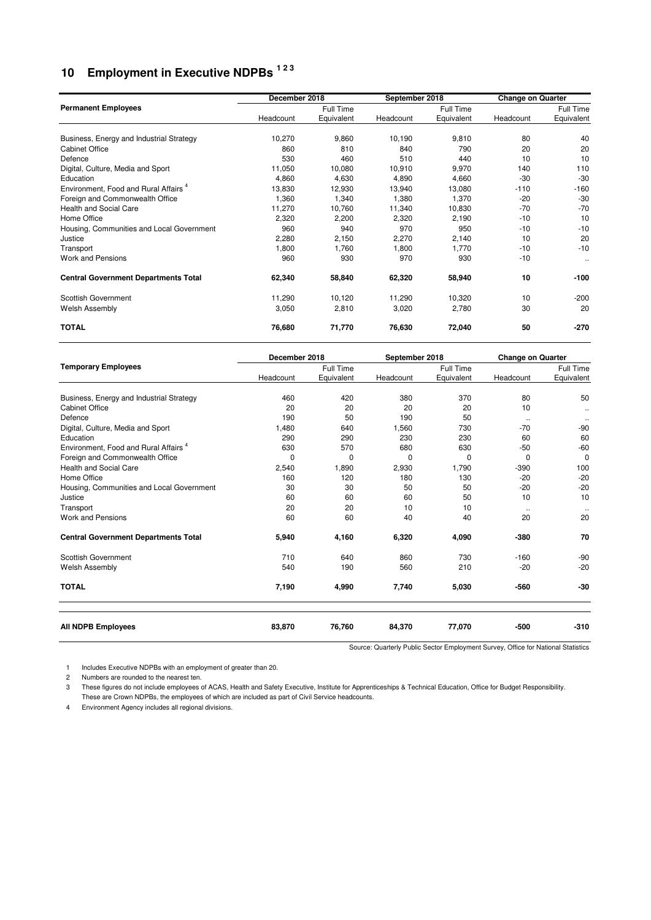## **10 Employment in Executive NDPBs 1 2 3**

|                                                  | December 2018 |            | September 2018 |            | <b>Change on Quarter</b> |            |
|--------------------------------------------------|---------------|------------|----------------|------------|--------------------------|------------|
| <b>Permanent Employees</b>                       |               | Full Time  |                | Full Time  |                          | Full Time  |
|                                                  | Headcount     | Equivalent | Headcount      | Equivalent | Headcount                | Equivalent |
| Business, Energy and Industrial Strategy         | 10,270        | 9,860      | 10,190         | 9,810      | 80                       | 40         |
| <b>Cabinet Office</b>                            | 860           | 810        | 840            | 790        | 20                       | 20         |
| Defence                                          | 530           | 460        | 510            | 440        | 10                       | 10         |
| Digital, Culture, Media and Sport                | 11,050        | 10,080     | 10,910         | 9,970      | 140                      | 110        |
| Education                                        | 4,860         | 4,630      | 4,890          | 4,660      | $-30$                    | $-30$      |
| Environment, Food and Rural Affairs <sup>4</sup> | 13,830        | 12,930     | 13,940         | 13,080     | $-110$                   | $-160$     |
| Foreign and Commonwealth Office                  | 1,360         | 1,340      | 1,380          | 1,370      | $-20$                    | $-30$      |
| <b>Health and Social Care</b>                    | 11,270        | 10,760     | 11,340         | 10,830     | $-70$                    | $-70$      |
| Home Office                                      | 2,320         | 2,200      | 2,320          | 2,190      | $-10$                    | 10         |
| Housing, Communities and Local Government        | 960           | 940        | 970            | 950        | $-10$                    | $-10$      |
| Justice                                          | 2,280         | 2,150      | 2,270          | 2,140      | 10                       | 20         |
| Transport                                        | 1,800         | 1,760      | 1,800          | 1,770      | $-10$                    | $-10$      |
| Work and Pensions                                | 960           | 930        | 970            | 930        | $-10$                    | $\ddotsc$  |
| <b>Central Government Departments Total</b>      | 62,340        | 58,840     | 62,320         | 58,940     | 10                       | $-100$     |
| Scottish Government                              | 11,290        | 10,120     | 11,290         | 10,320     | 10                       | $-200$     |
| <b>Welsh Assembly</b>                            | 3,050         | 2,810      | 3,020          | 2,780      | 30                       | 20         |
| <b>TOTAL</b>                                     | 76,680        | 71,770     | 76,630         | 72,040     | 50                       | $-270$     |

|                                                  |           | December 2018<br>September 2018 |           |            | <b>Change on Quarter</b> |                    |
|--------------------------------------------------|-----------|---------------------------------|-----------|------------|--------------------------|--------------------|
| <b>Temporary Employees</b>                       |           | Full Time                       |           | Full Time  |                          | Full Time          |
|                                                  | Headcount | Equivalent                      | Headcount | Equivalent | Headcount                | Equivalent         |
| Business, Energy and Industrial Strategy         | 460       | 420                             | 380       | 370        | 80                       | 50                 |
| <b>Cabinet Office</b>                            | 20        | 20                              | 20        | 20         | 10                       |                    |
| Defence                                          | 190       | 50                              | 190       | 50         |                          | $\ddotsc$          |
| Digital, Culture, Media and Sport                | 1,480     | 640                             | 1,560     | 730        | $\ddotsc$<br>$-70$       | $\ddotsc$<br>$-90$ |
| Education                                        | 290       | 290                             | 230       | 230        | 60                       | 60                 |
| Environment, Food and Rural Affairs <sup>4</sup> | 630       | 570                             | 680       | 630        | $-50$                    | $-60$              |
| Foreign and Commonwealth Office                  | 0         | 0                               | 0         | 0          | $\mathbf 0$              | $\mathbf 0$        |
| <b>Health and Social Care</b>                    | 2,540     | 1,890                           | 2,930     | 1,790      | $-390$                   | 100                |
| Home Office                                      | 160       | 120                             | 180       | 130        | $-20$                    | $-20$              |
| Housing, Communities and Local Government        | 30        | 30                              | 50        | 50         | $-20$                    | $-20$              |
| Justice                                          | 60        | 60                              | 60        | 50         | 10                       | 10                 |
| Transport                                        | 20        | 20                              | 10        | 10         |                          |                    |
| <b>Work and Pensions</b>                         | 60        | 60                              | 40        | 40         | 20                       | 20                 |
| <b>Central Government Departments Total</b>      | 5,940     | 4,160                           | 6,320     | 4,090      | -380                     | 70                 |
| <b>Scottish Government</b>                       | 710       | 640                             | 860       | 730        | $-160$                   | $-90$              |
| <b>Welsh Assembly</b>                            | 540       | 190                             | 560       | 210        | $-20$                    | $-20$              |
| <b>TOTAL</b>                                     | 7,190     | 4,990                           | 7,740     | 5,030      | -560                     | $-30$              |
| <b>All NDPB Employees</b>                        | 83,870    | 76,760                          | 84,370    | 77,070     | $-500$                   | $-310$             |

Source: Quarterly Public Sector Employment Survey, Office for National Statistics

1 Includes Executive NDPBs with an employment of greater than 20.

2 Numbers are rounded to the nearest ten.

3 These figures do not include employees of ACAS, Health and Safety Executive, Institute for Apprenticeships & Technical Education, Office for Budget Responsibility. These are Crown NDPBs, the employees of which are included as part of Civil Service headcounts.

4 Environment Agency includes all regional divisions.